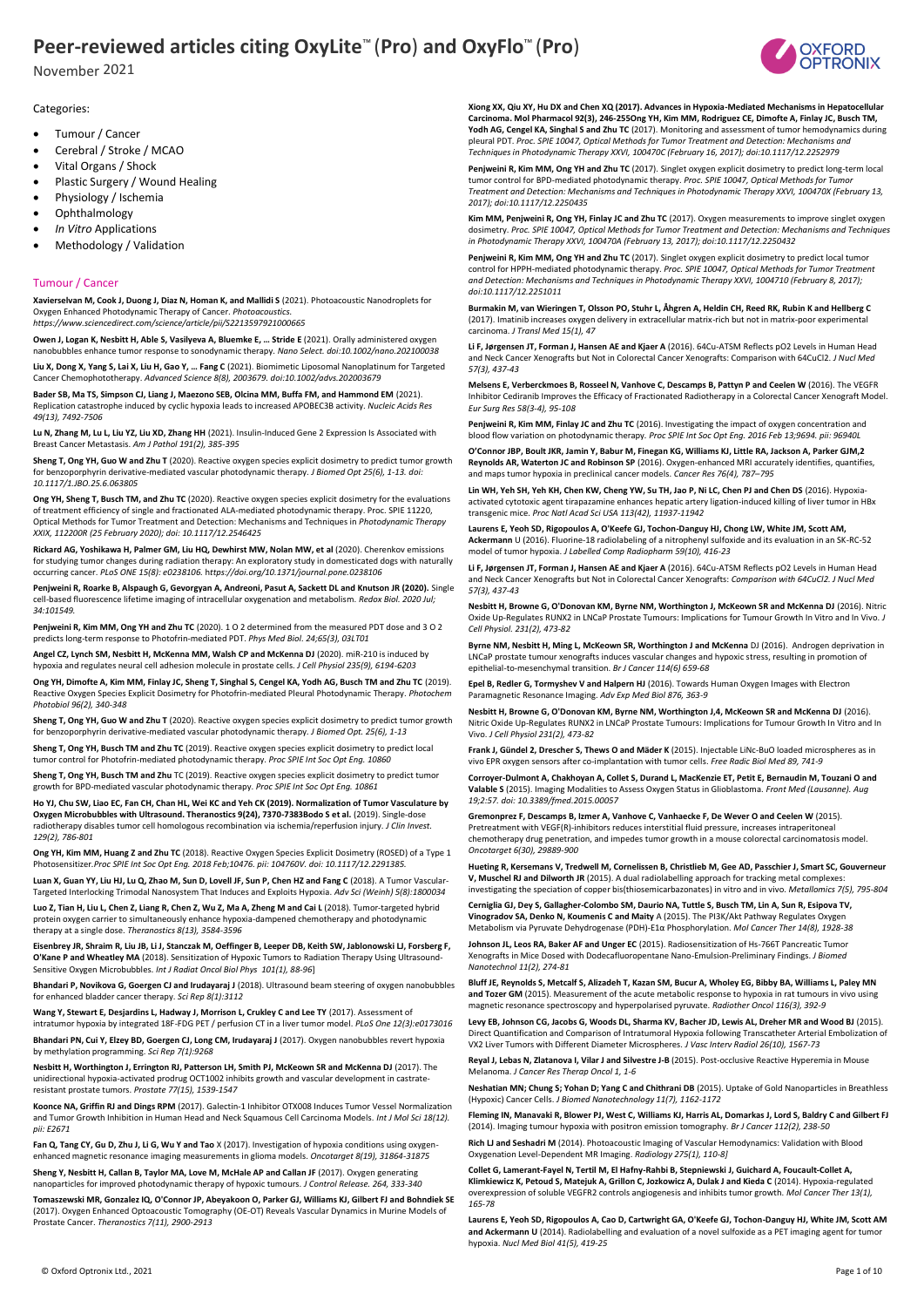November 2021



Categories:

- Tumour / Cancer
- Cerebral / Stroke / MCAO
- Vital Organs / Shock
- Plastic Surgery / Wound Healing
- Physiology / Ischemia
- Ophthalmology
- *In Vitro* Applications
- Methodology / Validation

#### Tumour / Cancer

**Xavierselvan M, Cook J, Duong J, Diaz N, Homan K, and Mallidi S** (2021). Photoacoustic Nanodroplets for Oxygen Enhanced Photodynamic Therapy of Cancer. *Photoacoustics.* 

*https://www.sciencedirect.com/science/article/pii/S2213597921000665*

**Owen J, Logan K, Nesbitt H, Able S, Vasilyeva A, Bluemke E, … Stride E** (2021). Orally administered oxygen nanobubbles enhance tumor response to sonodynamic therapy. *Nano Select. doi:10.1002/nano.202100038*

**Liu X, Dong X, Yang S, Lai X, Liu H, Gao Y, … Fang C** (2021). Biomimetic Liposomal Nanoplatinum for Targeted Cancer Chemophototherapy. *Advanced Science 8(8), 2003679. doi:10.1002/advs.202003679*

**Bader SB, Ma TS, Simpson CJ, Liang J, Maezono SEB, Olcina MM, Buffa FM, and Hammond EM** (2021). Replication catastrophe induced by cyclic hypoxia leads to increased APOBEC3B activity. *Nucleic Acids Res 49(13), 7492-7506*

**Lu N, Zhang M, Lu L, Liu YZ, Liu XD, Zhang HH** (2021). Insulin-Induced Gene 2 Expression Is Associated with Breast Cancer Metastasis. *Am J Pathol 191(2), 385-395*

**Sheng T, Ong YH, Guo W and Zhu T** (2020). Reactive oxygen species explicit dosimetry to predict tumor growth for benzoporphyrin derivative-mediated vascular photodynamic therapy. *J Biomed Opt 25(6), 1-13. doi: 10.1117/1.JBO.25.6.063805*

**Ong YH, Sheng T, Busch TM, and Zhu TC** (2020). Reactive oxygen species explicit dosimetry for the evaluations of treatment efficiency of single and fractionated ALA-mediated photodynamic therapy. Proc. SPIE 11220, Optical Methods for Tumor Treatment and Detection: Mechanisms and Techniques in *Photodynamic Therapy XXIX, 112200R (25 February 2020); doi: 10.1117/12.2546425*

**Rickard AG, Yoshikawa H, Palmer GM, Liu HQ, Dewhirst MW, Nolan MW, et al** (2020). Cherenkov emissions for studying tumor changes during radiation therapy: An exploratory study in domesticated dogs with naturally occurring cancer. *PLoS ONE 15(8): e0238106.* h*ttps://doi.org/10.1371/journal.pone.0238106*

**Penjweini R, Roarke B, Alspaugh G, Gevorgyan A, Andreoni, Pasut A, Sackett DL and Knutson JR (2020).** Single cell-based fluorescence lifetime imaging of intracellular oxygenation and metabolism. *Redox Biol. 2020 Jul; 34:101549.*

**Penjweini R, Kim MM, Ong YH and Zhu TC** (2020). 1 O 2 determined from the measured PDT dose and 3 O 2 predicts long-term response to Photofrin-mediated PDT. *Phys Med Biol. 24;65(3), 03LT01*

**Angel CZ, Lynch SM, Nesbitt H, McKenna MM, Walsh CP and McKenna DJ** (2020). miR-210 is induced by hypoxia and regulates neural cell adhesion molecule in prostate cells. *J Cell Physiol 235(9), 6194-6203*

**Ong YH, Dimofte A, Kim MM, Finlay JC, Sheng T, Singhal S, Cengel KA, Yodh AG, Busch TM and Zhu TC** (2019).<br>Reactive Oxygen Species Explicit Dosimetry for Photofrin-mediated Pleural Photodynamic Therapy. *Photochem Photobiol 96(2), 340-348*

**Sheng T, Ong YH, Guo W and Zhu T** (2020). Reactive oxygen species explicit dosimetry to predict tumor growth for benzoporphyrin derivative-mediated vascular photodynamic therapy*. J Biomed Opt. 25(6), 1-13*

**Sheng T, Ong YH, Busch TM and Zhu TC** (2019). Reactive oxygen species explicit dosimetry to predict local tumor control for Photofrin-mediated photodynamic therapy. *Proc SPIE Int Soc Opt Eng. 10860* 

**Sheng T, Ong YH, Busch TM and Zhu** TC (2019). Reactive oxygen species explicit dosimetry to predict tumor growth for BPD-mediated vascular photodynamic therapy. *Proc SPIE Int Soc Opt Eng. 10861*

**Ho YJ, Chu SW, Liao EC, Fan CH, Chan HL, Wei KC and Yeh CK (2019). Normalization of Tumor Vasculature by Oxygen Microbubbles with Ultrasound. Theranostics 9(24), 7370-7383Bodo S et al.** (2019). Single-dose radiotherapy disables tumor cell homologous recombination via ischemia/reperfusion injury. *J Clin Invest. 129(2), 786-801*

**Ong YH, Kim MM, Huang Z and Zhu TC** (2018). Reactive Oxygen Species Explicit Dosimetry (ROSED) of a Type 1 Photosensitizer*.Proc SPIE Int Soc Opt Eng. 2018 Feb;10476. pii: 104760V. doi: 10.1117/12.2291385.*

Luan X, Guan YY, Liu HJ, Lu Q, Zhao M, Sun D, Lovell JF, Sun P, Chen HZ and Fang C (2018). A Tumor Vascular-Targeted Interlocking Trimodal Nanosystem That Induces and Exploits Hypoxia. *Adv Sci (Weinh) 5(8):1800034* 

**Luo Z, Tian H, Liu L, Chen Z, Liang R, Chen Z, Wu Z, Ma A, Zheng M and Cai L** (2018). Tumor-targeted hybrid protein oxygen carrier to simultaneously enhance hypoxia-dampened chemotherapy and photodynan therapy at a single dose. *Theranostics 8(13), 3584-3596*

**Eisenbrey JR, Shraim R, Liu JB, Li J, Stanczak M, Oeffinger B, Leeper DB, Keith SW, Jablonowski LJ, Forsberg F, O'Kane P and Wheatley MA** (2018). Sensitization of Hypoxic Tumors to Radiation Therapy Using Ultrasound-Sensitive Oxygen Microbubbles*. Int J Radiat Oncol Biol Phys 101(1), 88-96*]

**Bhandari P, Novikova G, Goergen CJ and Irudayaraj J** (2018). Ultrasound beam steering of oxygen nanobubbles for enhanced bladder cancer therapy. *Sci Rep 8(1):3112*

**Wang Y, Stewart E, Desjardins L, Hadway J, Morrison L, Crukley C and Lee TY** (2017). Assessment of intratumor hypoxia by integrated 18F-FDG PET / perfusion CT in a liver tumor model. *PLoS One 12(3):e0173016*

**Bhandari PN, Cui Y, Elzey BD, Goergen CJ, Long CM, Irudayaraj J** (2017). Oxygen nanobubbles revert hypoxia by methylation programming. *Sci Rep 7(1):9268* **Nesbitt H, Worthington J, Errington RJ, Patterson LH, Smith PJ, McKeown SR and McKenna DJ** (2017). The

unidirectional hypoxia-activated prodrug OCT1002 inhibits growth and vascular development in castrate-resistant prostate tumors. *Prostate 77(15), 1539-1547*

**Koonce NA, Griffin RJ and Dings RPM** (2017). Galectin-1 Inhibitor OTX008 Induces Tumor Vessel Normalization and Tumor Growth Inhibition in Human Head and Neck Squamous Cell Carcinoma Models. *Int J Mol Sci 18(12). pii: E2671*

**Fan Q, Tang CY, Gu D, Zhu J, Li G, Wu Y and Tao** X (2017). Investigation of hypoxia conditions using oxygenenhanced magnetic resonance imaging measurements in glioma models. *Oncotarget 8(19), 31864-31875*

**Sheng Y, Nesbitt H, Callan B, Taylor MA, Love M, McHale AP and Callan JF** (2017). Oxygen generating nanoparticles for improved photodynamic therapy of hypoxic tumours. *J Control Release. 264, 333-340* 

**Tomaszewski MR, Gonzalez IQ, O'Connor JP, Abeyakoon O, Parker GJ, Williams KJ, Gilbert FJ and Bohndiek SE**  (2017). Oxygen Enhanced Optoacoustic Tomography (OE-OT) Reveals Vascular Dynamics in Murine Models of Prostate Cancer. *Theranostics 7(11), 2900-2913*

**Xiong XX, Qiu XY, Hu DX and Chen XQ (2017). Advances in Hypoxia-Mediated Mechanisms in Hepatocellular Carcinoma. Mol Pharmacol 92(3), 246-255Ong YH, Kim MM, Rodriguez CE, Dimofte A, Finlay JC, Busch TM, Yodh AG, Cengel KA, Singhal S and Zhu TC** (2017). Monitoring and assessment of tumor hemodynamics during pleural PDT. *Proc. SPIE 10047, Optical Methods for Tumor Treatment and Detection: Mechanisms and Techniques in Photodynamic Therapy XXVI, 100470C (February 16, 2017); doi:10.1117/12.2252979*

**Penjweini R, Kim MM, Ong YH and Zhu TC** (2017). Singlet oxygen explicit dosimetry to predict long-term local tumor control for BPD-mediated photodynamic therapy. *Proc. SPIE 10047, Optical Methods for Tumor Treatment and Detection: Mechanisms and Techniques in Photodynamic Therapy XXVI, 100470X (February 13, 2017); doi:10.1117/12.2250435*

**Kim MM, Penjweini R, Ong YH, Finlay JC and Zhu TC** (2017). Oxygen measurements to improve singlet oxygen dosimetry. *Proc. SPIE 10047, Optical Methods for Tumor Treatment and Detection: Mechanisms and Techniques in Photodynamic Therapy XXVI, 100470A (February 13, 2017); doi:10.1117/12.2250432*

**Penjweini R, Kim MM, Ong YH and Zhu TC** (2017). Singlet oxygen explicit dosimetry to predict local tumor control for HPPH-mediated photodynamic therapy. *Proc. SPIE 10047, Optical Methods for Tumor Treatment and Detection: Mechanisms and Techniques in Photodynamic Therapy XXVI, 1004710 (February 8, 2017); doi:10.1117/12.2251011*

**Burmakin M, van Wieringen T, Olsson PO, Stuhr L, Åhgren A, Heldin CH, Reed RK, Rubin K and Hellberg C**  (2017). Imatinib increases oxygen delivery in extracellular matrix-rich but not in matrix-poor experimental carcinoma. *J Transl Med 15(1), 47*

**Li F, Jørgensen JT, Forman J, Hansen AE and Kjaer A** (2016). 64Cu-ATSM Reflects pO2 Levels in Human Head and Neck Cancer Xenografts but Not in Colorectal Cancer Xenografts: Comparison with 64CuCl2. *J Nucl Med 57(3), 437-43*

**Melsens E, Verberckmoes B, Rosseel N, Vanhove C, Descamps B, Pattyn P and Ceelen W** (2016). The VEGFR Inhibitor Cediranib Improves the Efficacy of Fractionated Radiotherapy in a Colorectal Cancer Xenograft Model. *Eur Surg Res 58(3-4), 95-108*

**Penjweini R, Kim MM, Finlay JC and Zhu TC** (2016). Investigating the impact of oxygen concentration and blood flow variation on photodynamic therapy*. Proc SPIE Int Soc Opt Eng. 2016 Feb 13;9694. pii: 96940L*

**O'Connor JBP, Boult JKR, Jamin Y, Babur M, Finegan KG, Williams KJ, Little RA, Jackson A, Parker GJM,2 Reynolds AR, Waterton JC and Robinson SP** (2016). Oxygen-enhanced MRI accurately identifies, quantifies, and maps tumor hypoxia in preclinical cancer models. *Cancer Res 76(4), 787–795*

**Lin WH, Yeh SH, Yeh KH, Chen KW, Cheng YW, Su TH, Jao P, Ni LC, Chen PJ and Chen DS** (2016). Hypoxiaactivated cytotoxic agent tirapazamine enhances hepatic artery ligation-induced killing of liver tumor in HBx transgenic mice. *Proc Natl Acad Sci USA 113(42), 11937-11942*

**Laurens E, Yeoh SD, Rigopoulos A, O'Keefe GJ, Tochon-Danguy HJ, Chong LW, White JM, Scott AM, Ackermann** U (2016). Fluorine-18 radiolabeling of a nitrophenyl sulfoxide and its evaluation in an SK-RC-52 model of tumor hypoxia. *J Labelled Comp Radiopharm 59(10), 416-23*

**Li F, Jørgensen JT, Forman J, Hansen AE and Kjaer A** (2016). 64Cu-ATSM Reflects pO2 Levels in Human Head and Neck Cancer Xenografts but Not in Colorectal Cancer Xenografts: *Comparison with 64CuCl2. J Nucl Med 57(3), 437-43*

**Nesbitt H, Browne G, O'Donovan KM, Byrne NM, Worthington J, McKeown SR and McKenna DJ** (2016). Nitric Oxide Up-Regulates RUNX2 in LNCaP Prostate Tumours: Implications for Tumour Growth In Vitro and In Vivo. *J Cell Physiol. 231(2), 473-82*

**Byrne NM, Nesbitt H, Ming L, McKeown SR, Worthington J and McKenna** DJ (2016). Androgen deprivation in LNCaP prostate tumour xenografts induces vascular changes and hypoxic stress, resulting in promotion of epithelial-to-mesenchymal transition. *Br J Cancer 114(6) 659-68*

**Epel B, Redler G, Tormyshev V and Halpern HJ** (2016). Towards Human Oxygen Images with Electron Paramagnetic Resonance Imaging. *Adv Exp Med Biol 876, 363-9*

**Nesbitt H, Browne G, O'Donovan KM, Byrne NM, Worthington J,4, McKeown SR and McKenna DJ** (2016). Nitric Oxide Up-Regulates RUNX2 in LNCaP Prostate Tumours: Implications for Tumour Growth In Vitro and In Vivo. *J Cell Physiol 231(2), 473-82*

**Frank J, Gündel 2, Drescher S, Thews O and Mäder K** (2015). Injectable LiNc-BuO loaded microspheres as in vivo EPR oxygen sensors after co-implantation with tumor cells. *Free Radic Biol Med 89, 741-9*

**Corroyer-Dulmont A, Chakhoyan A, Collet S, Durand L, MacKenzie ET, Petit E, Bernaudin M, Touzani O and Valable S** (2015). Imaging Modalities to Assess Oxygen Status in Glioblastoma. *Front Med (Lausanne). Aug 19;2:57. doi: 10.3389/fmed.2015.00057*

**Gremonprez F, Descamps B, Izmer A, Vanhove C, Vanhaecke F, De Wever O and Ceelen W** (2015). Pretreatment with VEGF(R)-inhibitors reduces interstitial fluid pressure, increases intraperitoneal chemotherapy drug penetration, and impedes tumor growth in a mouse colorectal carcinomatosis model. *Oncotarget 6(30), 29889-900*

**Hueting R, Kersemans V, Tredwell M, Cornelissen B, Christlieb M, Gee AD, Passchier J, Smart SC, Gouverneur**  V, Muschel RJ and Dilworth JR (2015). A dual radiolabelling approach for tracking metal complexe investigating the speciation of copper bis(thiosemicarbazonates) in vitro and in vivo. *Metallomics 7(5), 795-804*

**Cerniglia GJ, Dey S, Gallagher-Colombo SM, Daurio NA, Tuttle S, Busch TM, Lin A, Sun R, Esipova TV, Vinogradov SA, Denko N, Koumenis C and Maity** A (2015). The PI3K/Akt Pathway Regulates Oxygen Metabolism via Pyruvate Dehydrogenase (PDH)-E1α Phosphorylation. *Mol Cancer Ther 14(8), 1928-38*

**Johnson JL, Leos RA, Baker AF and Unger EC** (2015). Radiosensitization of Hs-766T Pancreatic Tumor Xenografts in Mice Dosed with Dodecafluoropentane Nano-Emulsion-Preliminary Findings. *J Biomed Nanotechnol 11(2), 274-81*

**Bluff JE, Reynolds S, Metcalf S, Alizadeh T, Kazan SM, Bucur A, Wholey EG, Bibby BA, Williams L, Paley MN and Tozer GM** (2015). Measurement of the acute metabolic response to hypoxia in rat tumours in vivo using magnetic resonance spectroscopy and hyperpolarised pyruvate. *Radiother Oncol 116(3), 392-9*

**Levy EB, Johnson CG, Jacobs G, Woods DL, Sharma KV, Bacher JD, Lewis AL, Dreher MR and Wood BJ** (2015). Direct Quantification and Comparison of Intratumoral Hypoxia following Transcatheter Arterial Embolization of VX2 Liver Tumors with Different Diameter Microspheres. *J Vasc Interv Radiol 26(10), 1567-73*

**Reyal J, Lebas N, Zlatanova I, Vilar J and Silvestre J-B** (2015). Post-occlusive Reactive Hyperemia in Mouse Melanoma. *J Cancer Res Therap Oncol 1, 1-6*

**Neshatian MN; Chung S; Yohan D; Yang C and Chithrani DB** (2015). Uptake of Gold Nanoparticles in Breathless (Hypoxic) Cancer Cells. *J Biomed Nanotechnology 11(7), 1162-1172*

**Fleming IN, Manavaki R, Blower PJ, West C, Williams KJ, Harris AL, Domarkas J, Lord S, Baldry C and Gilbert FJ**  (2014). Imaging tumour hypoxia with positron emission tomography. *Br J Cancer 112(2), 238-50*

**Rich LJ and Seshadri M** (2014). Photoacoustic Imaging of Vascular Hemodynamics: Validation with Blood Oxygenation Level-Dependent MR Imaging. *Radiology 275(1), 110-8]*

**Collet G, Lamerant-Fayel N, Tertil M, El Hafny-Rahbi B, Stepniewski J, Guichard A, Foucault-Collet A, Klimkiewicz K, Petoud S, Matejuk A, Grillon C, Jozkowicz A, Dulak J and Kieda C** (2014). Hypoxia-regulated overexpression of soluble VEGFR2 controls angiogenesis and inhibits tumor growth. *Mol Cancer Ther 13(1), 165-78*

**Laurens E, Yeoh SD, Rigopoulos A, Cao D, Cartwright GA, O'Keefe GJ, Tochon-Danguy HJ, White JM, Scott AM and Ackermann U** (2014). Radiolabelling and evaluation of a novel sulfoxide as a PET imaging agent for tumor hypoxia. *Nucl Med Biol 41(5), 419-25*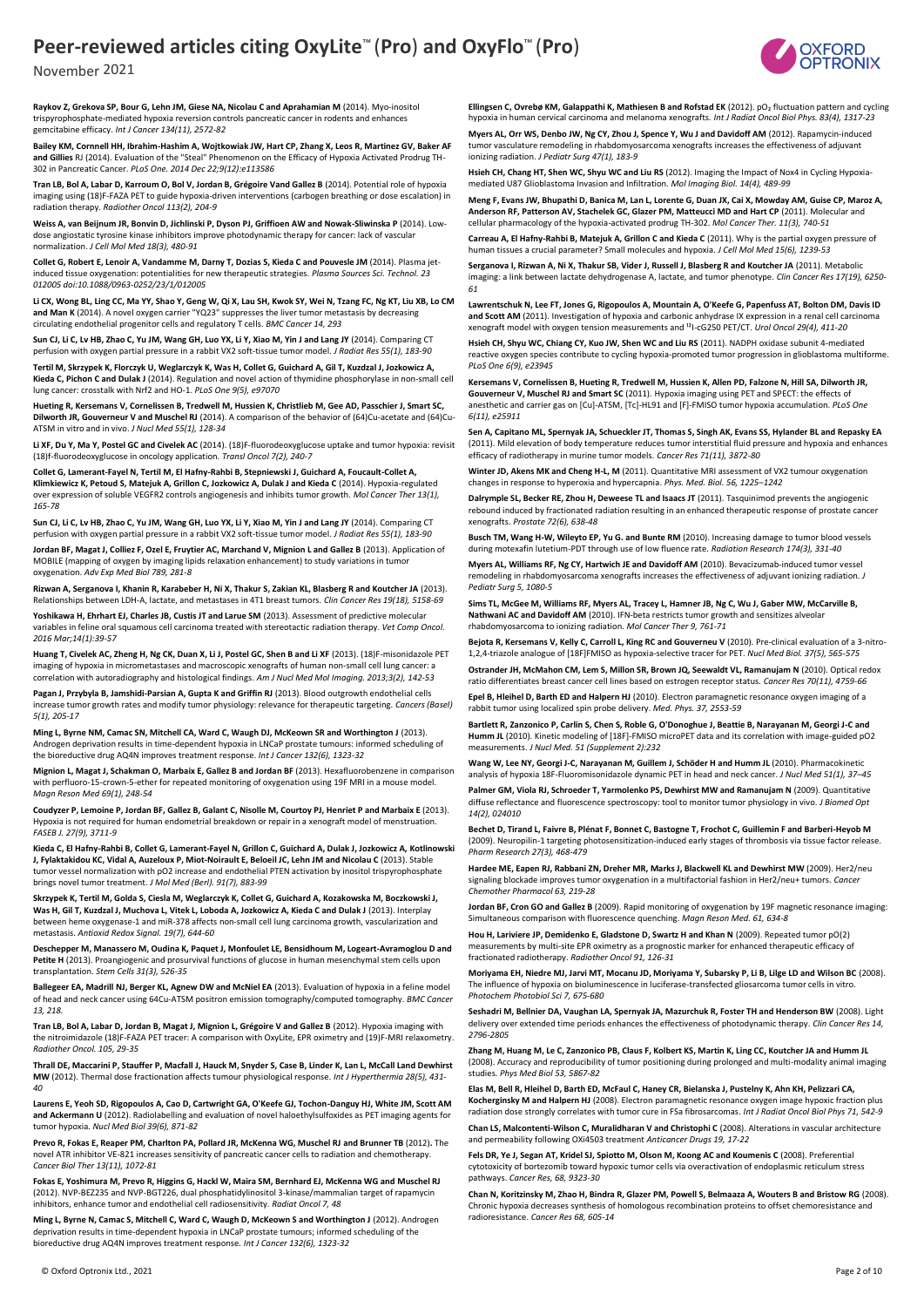

November 2021

**Raykov Z, Grekova SP, Bour G, Lehn JM, Giese NA, Nicolau C and Aprahamian M** (2014). Myo-inositol trispyrophosphate-mediated hypoxia reversion controls pancreatic cancer in rodents and enhances gemcitabine efficacy. *Int J Cancer 134(11), 2572-82*

**Bailey KM, Cornnell HH, Ibrahim-Hashim A, Wojtkowiak JW, Hart CP, Zhang X, Leos R, Martinez GV, Baker AF and Gillies** RJ (2014). Evaluation of the "Steal" Phenomenon on the Efficacy of Hypoxia Activated Prodrug TH-302 in Pancreatic Cancer. *PLoS One. 2014 Dec 22;9(12):e113586*

**Tran LB, Bol A, Labar D, Karroum O, Bol V, Jordan B, Grégoire Vand Gallez B** (2014). Potential role of hypoxia imaging using (18)F-FAZA PET to guide hypoxia-driven interventions (carbogen breathing or dose escalation) in radiation therapy. *Radiother Oncol 113(2), 204-9*

**Weiss A, van Beijnum JR, Bonvin D, Jichlinski P, Dyson PJ, Griffioen AW and Nowak-Sliwinska P** (2014). Lowdose angiostatic tyrosine kinase inhibitors improve photodynamic therapy for cancer: lack of vascular normalization. *J Cell Mol Med 18(3), 480-91*

**Collet G, Robert E, Lenoir A, Vandamme M, Darny T, Dozias S, Kieda C and Pouvesle JM** (2014). Plasma jetinduced tissue oxygenation: potentialities for new therapeutic strategies. *Plasma Sources Sci. Technol. 23 012005 doi:10.1088/0963-0252/23/1/012005*

**Li CX, Wong BL, Ling CC, Ma YY, Shao Y, Geng W, Qi X, Lau SH, Kwok SY, Wei N, Tzang FC, Ng KT, Liu XB, Lo CM and Man K** (2014). A novel oxygen carrier "YQ23" suppresses the liver tumor metastasis by decreasing circulating endothelial progenitor cells and regulatory T cells. *BMC Cancer 14, 293*

**Sun CJ, Li C, Lv HB, Zhao C, Yu JM, Wang GH, Luo YX, Li Y, Xiao M, Yin J and Lang JY** (2014). Comparing CT perfusion with oxygen partial pressure in a rabbit VX2 soft-tissue tumor model. *J Radiat Res 55(1), 183-90*

**Tertil M, Skrzypek K, Florczyk U, Weglarczyk K, Was H, Collet G, Guichard A, Gil T, Kuzdzal J, Jozkowicz A, Kieda C, Pichon C and Dulak J** (2014). Regulation and novel action of thymidine phosphorylase in non-small cell lung cancer: crosstalk with Nrf2 and HO-1. *PLoS One 9(5), e97070*

**Hueting R, Kersemans V, Cornelissen B, Tredwell M, Hussien K, Christlieb M, Gee AD, Passchier J, Smart SC, Dilworth JR, Gouverneur V and Muschel RJ** (2014). A comparison of the behavior of (64)Cu-acetate and (64)Cu-ATSM in vitro and in vivo. *J Nucl Med 55(1), 128-34*

**Li XF, Du Y, Ma Y, Postel GC and Civelek AC** (2014). (18)F-fluorodeoxyglucose uptake and tumor hypoxia: revisit (18)f-fluorodeoxyglucose in oncology application. *Transl Oncol 7(2), 240-7*

**Collet G, Lamerant-Fayel N, Tertil M, El Hafny-Rahbi B, Stepniewski J, Guichard A, Foucault-Collet A, Klimkiewicz K, Petoud S, Matejuk A, Grillon C, Jozkowicz A, Dulak J and Kieda C** (2014). Hypoxia-regulated over expression of soluble VEGFR2 controls angiogenesis and inhibits tumor growth. *Mol Cancer Ther 13(1), 165-78*

**Sun CJ, Li C, Lv HB, Zhao C, Yu JM, Wang GH, Luo YX, Li Y, Xiao M, Yin J and Lang JY** (2014). Comparing CT perfusion with oxygen partial pressure in a rabbit VX2 soft-tissue tumor model. *J Radiat Res 55(1), 183-90*

**Jordan BF, Magat J, Colliez F, Ozel E, Fruytier AC, Marchand V, Mignion L and Gallez B** (2013). Application of MOBILE (mapping of oxygen by imaging lipids relaxation enhancement) to study variations in tumo oxygenation. *Adv Exp Med Biol 789, 281-8*

**Rizwan A, Serganova I, Khanin R, Karabeber H, Ni X, Thakur S, Zakian KL, Blasberg R and Koutcher JA** (2013). Relationships between LDH-A, lactate, and metastases in 4T1 breast tumors. *Clin Cancer Res 19(18), 5158-69*

**Yoshikawa H, Ehrhart EJ, Charles JB, Custis JT and Larue SM** (2013). Assessment of predictive molecular variables in feline oral squamous cell carcinoma treated with stereotactic radiation therapy. *Vet Comp Oncol. 2016 Mar;14(1):39-57*

**Huang T, Civelek AC, Zheng H, Ng CK, Duan X, Li J, Postel GC, Shen B and Li XF** (2013). (18)F-misonidazole PET imaging of hypoxia in micrometastases and macroscopic xenografts of human non-small cell lung cancer: a correlation with autoradiography and histological findings. *Am J Nucl Med Mol Imaging. 2013;3(2), 142-53*

**Pagan J, Przybyla B, Jamshidi-Parsian A, Gupta K and Griffin RJ** (2013). Blood outgrowth endothelial cells increase tumor growth rates and modify tumor physiology: relevance for therapeutic targeting. *Cancers (Basel) 5(1), 205-17*

Ming L, Byrne NM, Camac SN, Mitchell CA, Ward C, Waugh DJ, McKeown SR and Worthington J (2013). Androgen deprivation results in time-dependent hypoxia in LNCaP prostate tumours: informed scheduling of the bioreductive drug AQ4N improves treatment response. *Int J Cancer 132(6), 1323-32*

**Mignion L, Magat J, Schakman O, Marbaix E, Gallez B and Jordan BF** (2013). Hexafluorobenzene in comparison with perfluoro-15-crown-5-ether for repeated monitoring of oxygenation using 19F MRI in a mouse model. *Magn Reson Med 69(1), 248-54*

**Coudyzer P, Lemoine P, Jordan BF, Gallez B, Galant C, Nisolle M, Courtoy PJ, Henriet P and Marbaix E** (2013). Hypoxia is not required for human endometrial breakdown or repair in a xenograft model of menstruation. *FASEB J. 27(9), 3711-9*

**Kieda C, El Hafny-Rahbi B, Collet G, Lamerant-Fayel N, Grillon C, Guichard A, Dulak J, Jozkowicz A, Kotlinowski J, Fylaktakidou KC, Vidal A, Auzeloux P, Miot-Noirault E, Beloeil JC, Lehn JM and Nicolau C** (2013). Stable tumor vessel normalization with pO2 increase and endothelial PTEN activation by inositol trispyrophosphate brings novel tumor treatment. *J Mol Med (Berl). 91(7), 883-99*

**Skrzypek K, Tertil M, Golda S, Ciesla M, Weglarczyk K, Collet G, Guichard A, Kozakowska M, Boczkowski J,**  Was H, Gil T, Kuzdzal J, Muchova L, Vitek L, Loboda A, Jozkowicz A, Kieda C and Dulak J (2013). Interplay between heme oxygenase-1 and miR-378 affects non-small cell lung carcinoma growth, vascularization and metastasis. *Antioxid Redox Signal. 19(7), 644-60* 

**Deschepper M, Manassero M, Oudina K, Paquet J, Monfoulet LE, Bensidhoum M, Logeart-Avramoglou D and Petite H** (2013). Proangiogenic and prosurvival functions of glucose in human mesenchymal stem cells upon transplantation. *Stem Cells 31(3), 526-35*

**Ballegeer EA, Madrill NJ, Berger KL, Agnew DW and McNiel EA** (2013). Evaluation of hypoxia in a feline model of head and neck cancer using 64Cu-ATSM positron emission tomography/computed tomography. *BMC Cancer 13, 218.*

**Tran LB, Bol A, Labar D, Jordan B, Magat J, Mignion L, Grégoire V and Gallez B** (2012). Hypoxia imaging with the nitroimidazole (18)F-FAZA PET tracer: A comparison with OxyLite, EPR oximetry and (19)F-MRI relaxometry. *Radiother Oncol. 105, 29-35*

**Thrall DE, Maccarini P, Stauffer P, Macfall J, Hauck M, Snyder S, Case B, Linder K, Lan L, McCall Land Dewhirst MW** (2012). Thermal dose fractionation affects tumour physiological response*. Int J Hyperthermia 28(5), 431- 40*

**Laurens E, Yeoh SD, Rigopoulos A, Cao D, Cartwright GA, O'Keefe GJ, Tochon-Danguy HJ, White JM, Scott AM and Ackermann U** (2012). Radiolabelling and evaluation of novel haloethylsulfoxides as PET imaging agents for tumor hypoxia*. Nucl Med Biol 39(6), 871-82*

**Prevo R, Fokas E, Reaper PM, Charlton PA, Pollard JR, McKenna WG, Muschel RJ and Brunner TB** (2012)**.** The novel ATR inhibitor VE-821 increases sensitivity of pancreatic cancer cells to radiation and chemotherapy*. Cancer Biol Ther 13(11), 1072-81*

**Fokas E, Yoshimura M, Prevo R, Higgins G, Hackl W, Maira SM, Bernhard EJ, McKenna WG and Muschel RJ**  (2012). NVP-BEZ235 and NVP-BGT226, dual phosphatidylinositol 3-kinase/mammalian target of rapamycin inhibitors, enhance tumor and endothelial cell radiosensitivity. *Radiat Oncol 7, 48*

**Ming L, Byrne N, Camac S, Mitchell C, Ward C, Waugh D, McKeown S and Worthington J** (2012). Androgen deprivation results in time-dependent hypoxia in LNCaP prostate tumours; informed scheduling of the bioreductive drug AQ4N improves treatment response*. Int J Cancer 132(6), 1323-32* 

**Ellingsen C, Ovrebø KM, Galappathi K, Mathiesen B and Rofstad EK** (2012). pO<sub>2</sub> fluctuation pattern and cycling<br>hypoxia in human cervical carcinoma and melanoma xenografts. *Int J Radiat Oncol Biol Phys. 83(4), 1317-23* 

**Myers AL, Orr WS, Denbo JW, Ng CY, Zhou J, Spence Y, Wu J and Davidoff AM** (2012). Rapamycin-induced tumor vasculature remodeling in rhabdomyosarcoma xenografts increases the effectiveness of adjuvant ionizing radiation. *J Pediatr Surg 47(1), 183-9*

**Hsieh CH, Chang HT, Shen WC, Shyu WC and Liu RS** (2012). Imaging the Impact of Nox4 in Cycling Hypoxiamediated U87 Glioblastoma Invasion and Infiltration. *Mol Imaging Biol. 14(4), 489-99*

**Meng F, Evans JW, Bhupathi D, Banica M, Lan L, Lorente G, Duan JX, Cai X, Mowday AM, Guise CP, Maroz A, Anderson RF, Patterson AV, Stachelek GC, Glazer PM, Matteucci MD and Hart CP** (2011). Molecular and cellular pharmacology of the hypoxia-activated prodrug TH-302. *Mol Cancer Ther. 11(3), 740-51*

**Carreau A, El Hafny-Rahbi B, Matejuk A, Grillon C and Kieda C** (2011). Why is the partial oxygen pressure of human tissues a crucial parameter? Small molecules and hypoxia. *J Cell Mol Med 15(6), 1239-53*

**Serganova I, Rizwan A, Ni X, Thakur SB, Vider J, Russell J, Blasberg R and Koutcher JA** (2011). Metabolic imaging: a link between lactate dehydrogenase A, lactate, and tumor phenotype. *Clin Cancer Res 17(19), 6250- 61*

**Lawrentschuk N, Lee FT, Jones G, Rigopoulos A, Mountain A, O'Keefe G, Papenfuss AT, Bolton DM, Davis ID and Scott AM** (2011). Investigation of hypoxia and carbonic anhydrase IX expression in a renal cell carcinoma xenograft model with oxygen tension measurements and <sup>12</sup>1-cG250 PET/CT. *Urol Oncol 29(4), 411-20* 

**Hsieh CH, Shyu WC, Chiang CY, Kuo JW, Shen WC and Liu RS** (2011). NADPH oxidase subunit 4-mediated reactive oxygen species contribute to cycling hypoxia-promoted tumor progression in glioblastoma multiforme. *PLoS One 6(9), e23945*

**Kersemans V, Cornelissen B, Hueting R, Tredwell M, Hussien K, Allen PD, Falzone N, Hill SA, Dilworth JR, Gouverneur V, Muschel RJ and Smart SC** (2011). Hypoxia imaging using PET and SPECT: the effects of anesthetic and carrier gas on [Cu]-ATSM, [Tc]-HL91 and [F]-FMISO tumor hypoxia accumulation. *PLoS One 6(11), e25911*

**Sen A, Capitano ML, Spernyak JA, Schueckler JT, Thomas S, Singh AK, Evans SS, Hylander BL and Repasky EA**  (2011). Mild elevation of body temperature reduces tumor interstitial fluid pressure and hypoxia and enhances efficacy of radiotherapy in murine tumor models. *Cancer Res 71(11), 3872-80*

**Winter JD, Akens MK and Cheng H-L, M** (2011). Quantitative MRI assessment of VX2 tumour oxygenation changes in response to hyperoxia and hypercapnia. *Phys. Med. Biol. 56, 1225–1242*

**Dalrymple SL, Becker RE, Zhou H, Deweese TL and Isaacs JT** (2011). Tasquinimod prevents the angiogenic rebound induced by fractionated radiation resulting in an enhanced therapeutic response of prostate cancer xenografts. *Prostate 72(6), 638-48* 

**Busch TM, Wang H-W, Wileyto EP, Yu G. and Bunte RM** (2010). Increasing damage to tumor blood vessels during motexafin lutetium-PDT through use of low fluence rate. *Radiation Research 174(3), 331-40*

**Myers AL, Williams RF, Ng CY, Hartwich JE and Davidoff AM** (2010). Bevacizumab-induced tumor vessel remodeling in rhabdomyosarcoma xenografts increases the effectiveness of adjuvant ionizing radiation. *J Pediatr Surg 5, 1080-5*

**Sims TL, McGee M, Williams RF, Myers AL, Tracey L, Hamner JB, Ng C, Wu J, Gaber MW, McCarville B, Nathwani AC and Davidoff AM** (2010). IFN-beta restricts tumor growth and sensitizes alveolar rhabdomyosarcoma to ionizing radiation. *Mol Cancer Ther 9, 761-71*

**Bejota R, Kersemans V, Kelly C, Carroll L, King RC and Gouverneu V** (2010). Pre-clinical evaluation of a 3-nitro-1,2,4-triazole analogue of [18F]FMISO as hypoxia-selective tracer for PET. *Nucl Med Biol. 37(5), 565-575*

**Ostrander JH, McMahon CM, Lem S, Millon SR, Brown JQ, Seewaldt VL, Ramanujam N** (2010). Optical redox ratio differentiates breast cancer cell lines based on estrogen receptor status*. Cancer Res 70(11), 4759-66*

**Epel B, Hleihel D, Barth ED and Halpern HJ** (2010). Electron paramagnetic resonance oxygen imaging of a rabbit tumor using localized spin probe delivery. *Med. Phys. 37, 2553-59*

**Bartlett R, Zanzonico P, Carlin S, Chen S, Roble G, O'Donoghue J, Beattie B, Narayanan M, Georgi J-C and Humm JL** (2010). Kinetic modeling of [18F]-FMISO microPET data and its correlation with image-guided pO2 measurements. *J Nucl Med. 51 (Supplement 2):232*

**Wang W, Lee NY, Georgi J-C, Narayanan M, Guillem J, Schöder H and Humm JL** (2010). Pharmacokinetic analysis of hypoxia 18F-Fluoromisonidazole dynamic PET in head and neck cancer. *J Nucl Med 51(1), 37–45*

**Palmer GM, Viola RJ, Schroeder T, Yarmolenko PS, Dewhirst MW and Ramanujam N** (2009). Quantitative diffuse reflectance and fluorescence spectroscopy: tool to monitor tumor physiology in vivo. *J Biomed Opt 14(2), 024010*

**Bechet D, Tirand L, Faivre B, Plénat F, Bonnet C, Bastogne T, Frochot C, Guillemin F and Barberi-Heyob M**  (2009). Neuropilin-1 targeting photosensitization-induced early stages of thrombosis via tissue factor release. *Pharm Research 27(3), 468-479*

**Hardee ME, Eapen RJ, Rabbani ZN, Dreher MR, Marks J, Blackwell KL and Dewhirst MW** (2009). Her2/neu signaling blockade improves tumor oxygenation in a multifactorial fashion in Her2/neu+ tumors. *Cancer Chemother Pharmacol 63, 219-28*

**Jordan BF, Cron GO and Gallez B** (2009). Rapid monitoring of oxygenation by 19F magnetic resonance imaging: Simultaneous comparison with fluorescence quenching. *Magn Reson Med. 61, 634-8*

**Hou H, Lariviere JP, Demidenko E, Gladstone D, Swartz H and Khan N** (2009). Repeated tumor pO(2) measurements by multi-site EPR oximetry as a prognostic marker for enhanced therapeutic efficacy of fractionated radiotherapy. *Radiother Oncol 91, 126-31*

**Moriyama EH, Niedre MJ, Jarvi MT, Mocanu JD, Moriyama Y, Subarsky P, Li B, Lilge LD and Wilson BC** (2008). The influence of hypoxia on bioluminescence in luciferase-transfected gliosarcoma tumor cells in vitro. *Photochem Photobiol Sci 7, 675-680*

**Seshadri M, Bellnier DA, Vaughan LA, Spernyak JA, Mazurchuk R, Foster TH and Henderson BW** (2008). Light delivery over extended time periods enhances the effectiveness of photodynamic therapy. *Clin Cancer Res 14, 2796-2805*

**Zhang M, Huang M, Le C, Zanzonico PB, Claus F, Kolbert KS, Martin K, Ling CC, Koutcher JA and Humm JL** (2008). Accuracy and reproducibility of tumor positioning during prolonged and multi-modality animal imaging studies. *Phys Med Biol 53, 5867-82*

**Elas M, Bell R, Hleihel D, Barth ED, McFaul C, Haney CR, Bielanska J, Pustelny K, Ahn KH, Pelizzari CA, Kocherginsky M and Halpern HJ** (2008). Electron paramagnetic resonance oxygen image hypoxic fraction plus radiation dose strongly correlates with tumor cure in FSa fibrosarcomas. *Int J Radiat Oncol Biol Phys 71, 542-9* **Chan LS, Malcontenti-Wilson C, Muralidharan V and Christophi C** (2008). Alterations in vascular architecture

and permeability following OXi4503 treatment *Anticancer Drugs 19, 17-22*

**Fels DR, Ye J, Segan AT, Kridel SJ, Spiotto M, Olson M, Koong AC and Koumenis C** (2008). Preferential cytotoxicity of bortezomib toward hypoxic tumor cells via overactivation of endoplasmic reticulum stress pathways. *Cancer Res, 68, 9323-30*

**Chan N, Koritzinsky M, Zhao H, Bindra R, Glazer PM, Powell S, Belmaaza A, Wouters B and Bristow RG** (2008). Chronic hypoxia decreases synthesis of homologous recombination proteins to offset chemoresistance and radioresistance. *Cancer Res 68, 605-14*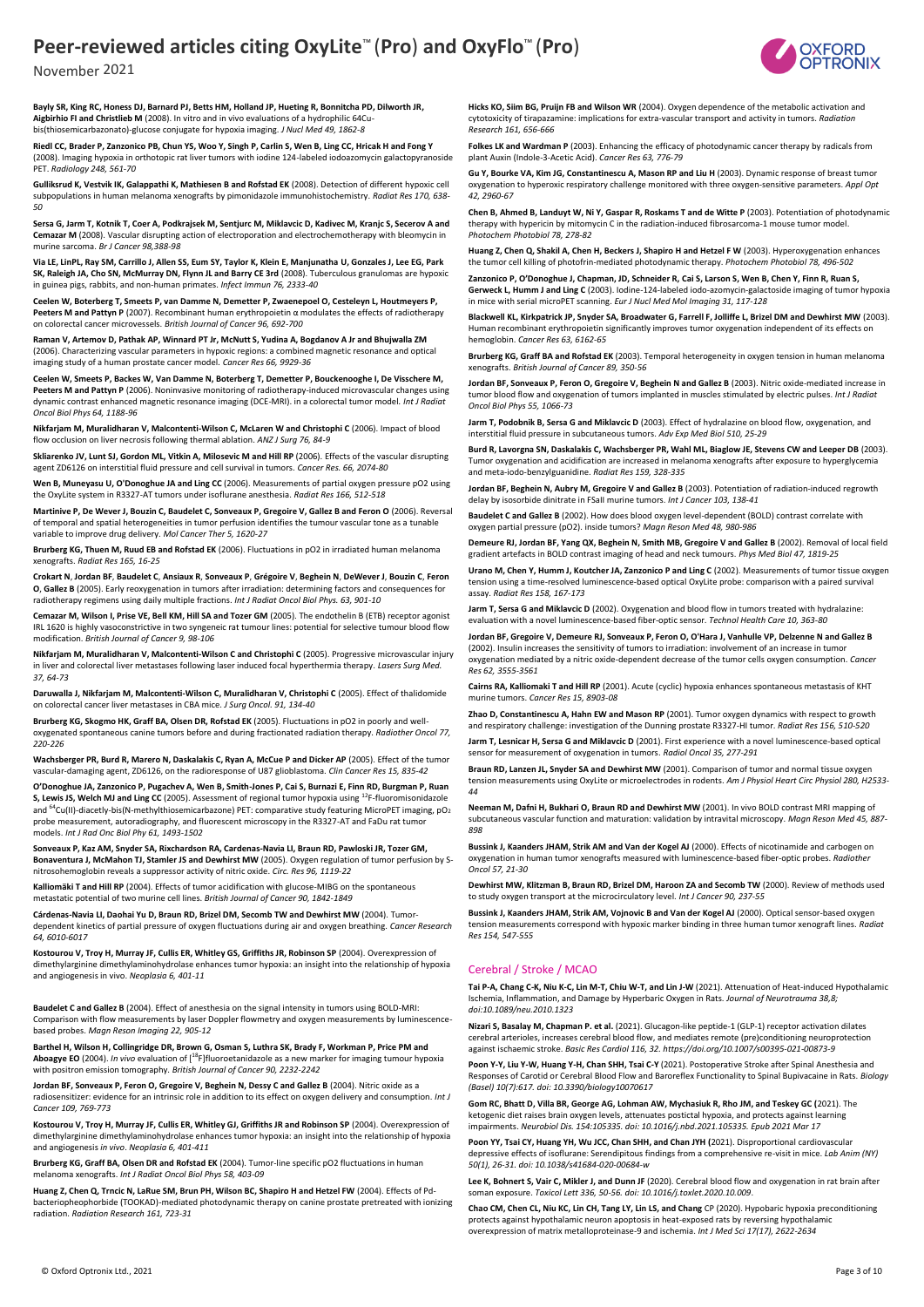

**Bayly SR, King RC, Honess DJ, Barnard PJ, Betts HM, Holland JP, Hueting R, Bonnitcha PD, Dilworth JR, Aigbirhio FI and Christlieb M** (2008). In vitro and in vivo evaluations of a hydrophilic 64Cubis(thiosemicarbazonato)-glucose conjugate for hypoxia imaging. *J Nucl Med 49, 1862-8*

**Riedl CC, Brader P, Zanzonico PB, Chun YS, Woo Y, Singh P, Carlin S, Wen B, Ling CC, Hricak H and Fong Y** (2008). Imaging hypoxia in orthotopic rat liver tumors with iodine 124-labeled iodoazomycin galactopyranoside PET. *Radiology 248, 561-70*

**Gulliksrud K, Vestvik IK, Galappathi K, Mathiesen B and Rofstad EK** (2008). Detection of different hypoxic cell<br>subpopulations in human melanoma xenografts by pimonidazole immunohistochemistry. *Radiat Res 170, 638-50*

**Sersa G, Jarm T, Kotnik T, Coer A, Podkrajsek M, Sentjurc M, Miklavcic D, Kadivec M, Kranjc S, Secerov A and Cemazar M** (2008). Vascular disrupting action of electroporation and electrochemotherapy with bleomycin in murine sarcoma. *Br J Cancer 98,388-98*

**Via LE, LinPL, Ray SM, Carrillo J, Allen SS, Eum SY, Taylor K, Klein E, Manjunatha U, Gonzales J, Lee EG, Park SK, Raleigh JA, Cho SN, McMurray DN, Flynn JL and Barry CE 3rd** (2008). Tuberculous granulomas are hypoxic in guinea pigs, rabbits, and non-human primates. *Infect Immun 76, 2333-40*

**Ceelen W, Boterberg T, Smeets P, van Damme N, Demetter P, Zwaenepoel O, Cesteleyn L, Houtmeyers P, Peeters M and Pattyn P** (2007). Recombinant human erythropoietin α modulates the effects of radiotherapy on colorectal cancer microvessels. *British Journal of Cancer 96, 692-700*

**Raman V, Artemov D, Pathak AP, Winnard PT Jr, McNutt S, Yudina A, Bogdanov A Jr and Bhujwalla ZM** (2006). Characterizing vascular parameters in hypoxic regions: a combined magnetic resonance and optical imaging study of a human prostate cancer model*. Cancer Res 66, 9929-36*

**Ceelen W, Smeets P, Backes W, Van Damme N, Boterberg T, Demetter P, Bouckenooghe I, De Visschere M, Peeters M and Pattyn P** (2006). Noninvasive monitoring of radiotherapy-induced microvascular changes using dynamic contrast enhanced magnetic resonance imaging (DCE-MRI). in a colorectal tumor model*. Int J Radiat Oncol Biol Phys 64, 1188-96*

**Nikfarjam M, Muralidharan V, Malcontenti-Wilson C, McLaren W and Christophi C** (2006). Impact of blood flow occlusion on liver necrosis following thermal ablation. *ANZ J Surg 76, 84-9*

**Skliarenko JV, Lunt SJ, Gordon ML, Vitkin A, Milosevic M and Hill RP** (2006). Effects of the vascular disrupting agent ZD6126 on interstitial fluid pressure and cell survival in tumors. *Cancer Res. 66, 2074-80*

**Wen B, Muneyasu U, O'Donoghue JA and Ling CC** (2006). Measurements of partial oxygen pressure pO2 using the OxyLite system in R3327-AT tumors under isoflurane anesthesia. *Radiat Res 166, 512-518*

**Martinive P, De Wever J, Bouzin C, Baudelet C, Sonveaux P, Gregoire V, Gallez B and Feron O** (2006). Reversal of temporal and spatial heterogeneities in tumor perfusion identifies the tumour vascular tone as a tunable variable to improve drug delivery. *Mol Cancer Ther 5, 1620-27*

**Brurberg KG, Thuen M, Ruud EB and Rofstad EK** (2006). Fluctuations in pO2 in irradiated human melanoma xenografts. *Radiat Res 165, 16-25*

Crokart N, Jordan BF, Baudelet C, Ansiaux R, Sonveaux P, Grégoire V, Beghein N, DeWever J, Bouzin C, Feron<br>O, Gallez B (2005). Early reoxygenation in tumors after irradiation: determining factors and consequences for radiotherapy regimens using daily multiple fractions. *Int J Radiat Oncol Biol Phys. 63, 901-10* 

**Cemazar M, Wilson I, Prise VE, Bell KM, Hill SA and Tozer GM** (2005). The endothelin B (ETB) receptor agonist IRL 1620 is highly vasoconstrictive in two syngeneic rat tumour lines: potential for selective tumour blood flow modification. *British Journal of Cancer 9, 98-106*

**Nikfarjam M, Muralidharan V, Malcontenti-Wilson C and Christophi C** (2005). Progressive microvascular injury in liver and colorectal liver metastases following laser induced focal hyperthermia therapy. *Lasers Surg Med. 37, 64-73*

**Daruwalla J, Nikfarjam M, Malcontenti-Wilson C, Muralidharan V, Christophi C** (2005). Effect of thalidomide on colorectal cancer liver metastases in CBA mice. *J Surg Oncol. 91, 134-40*

**Brurberg KG, Skogmo HK, Graff BA, Olsen DR, Rofstad EK** (2005). Fluctuations in pO2 in poorly and welloxygenated spontaneous canine tumors before and during fractionated radiation therapy. *Radiother Oncol 77, 220-226*

**Wachsberger PR, Burd R, Marero N, Daskalakis C, Ryan A, McCue P and Dicker AP** (2005). Effect of the tumor vascular-damaging agent, ZD6126, on the radioresponse of U87 glioblastoma. *Clin Cancer Res 15, 835-42*

**O'Donoghue JA, Zanzonico P, Pugachev A, Wen B, Smith-Jones P, Cai S, Burnazi E, Finn RD, Burgman P, Ruan S, Lewis JS, Welch MJ and Ling CC** (2005). Assessment of regional tumor hypoxia using <sup>12</sup>F-fluoromisonidazole and <sup>64</sup>Cu(II)-diacetly-bis(N-methylthiosemicarbazone) PET: comparative study featuring MicroPET imaging, pO<sub>2</sub> probe measurement, autoradiography, and fluorescent microscopy in the R3327-AT and FaDu rat tumor models. *Int J Rad Onc Biol Phy 61, 1493-1502*

**Sonveaux P, Kaz AM, Snyder SA, Rixchardson RA, Cardenas-Navia LI, Braun RD, Pawloski JR, Tozer GM, Bonaventura J, McMahon TJ, Stamler JS and Dewhirst MW** (2005). Oxygen regulation of tumor perfusion by Snitrosohemoglobin reveals a suppressor activity of nitric oxide. *Circ. Res 96, 1119-22*

**Kalliomäki T and Hill RP** (2004). Effects of tumor acidification with glucose-MIBG on the spontaneous metastatic potential of two murine cell lines. *British Journal of Cancer 90, 1842-1849*

**Cárdenas-Navia LI, Daohai Yu D, Braun RD, Brizel DM, Secomb TW and Dewhirst MW** (2004). Tumordependent kinetics of partial pressure of oxygen fluctuations during air and oxygen breathing. *Cancer Research 64, 6010-6017*

**Kostourou V, Troy H, Murray JF, Cullis ER, Whitley GS, Griffiths JR, Robinson SP** (2004). Overexpression of dimethylarginine dimethylaminohydrolase enhances tumor hypoxia: an insight into the relationship of hypoxia and angiogenesis in vivo. *Neoplasia 6, 401-11*

**Baudelet C and Gallez B** (2004). Effect of anesthesia on the signal intensity in tumors using BOLD-MRI: Comparison with flow measurements by laser Doppler flowmetry and oxygen measurements by luminescencebased probes. *Magn Reson Imaging 22, 905-12*

**Barthel H, Wilson H, Collingridge DR, Brown G, Osman S, Luthra SK, Brady F, Workman P, Price PM and Aboagye EO** (2004). *In vivo* evaluation of [<sup>18</sup>F]fluoroetanidazole as a new marker for imaging tumour hypoxia with positron emission tomography. *British Journal of Cancer 90, 2232-2242*

**Jordan BF, Sonveaux P, Feron O, Gregoire V, Beghein N, Dessy C and Gallez B** (2004). Nitric oxide as a radiosensitizer: evidence for an intrinsic role in addition to its effect on oxygen delivery and consumption. *Int J Cancer 109, 769-773*

**Kostourou V, Troy H, Murray JF, Cullis ER, Whitley GJ, Griffiths JR and Robinson SP** (2004). Overexpression of dimethylarginine dimethylaminohydrolase enhances tumor hypoxia: an insight into the relationship of hypoxia and angiogenesis *in vivo*. *Neoplasia 6, 401-411*

**Brurberg KG, Graff BA, Olsen DR and Rofstad EK** (2004). Tumor-line specific pO2 fluctuations in human melanoma xenografts. *Int J Radiat Oncol Biol Phys 58, 403-09*

**Huang Z, Chen Q, Trncic N, LaRue SM, Brun PH, Wilson BC, Shapiro H and Hetzel FW** (2004). Effects of Pdbacteriopheophorbide (TOOKAD)-mediated photodynamic therapy on canine prostate pretreated with ionizing radiation. *Radiation Research 161, 723-31*

**Hicks KO, Siim BG, Pruijn FB and Wilson WR** (2004). Oxygen dependence of the metabolic activation and cytotoxicity of tirapazamine: implications for extra-vascular transport and activity in tumors. *Radiation Research 161, 656-666*

**Folkes LK and Wardman P** (2003). Enhancing the efficacy of photodynamic cancer therapy by radicals from plant Auxin (Indole-3-Acetic Acid). *Cancer Res 63, 776-79*

Gu Y, Bourke VA, Kim JG, Constantinescu A, Mason RP and Liu H (2003). Dynamic response of breast tumor oxygenation to hyperoxic respiratory challenge monitored with three oxygen-sensitive parameters. *Appl Opt 42, 2960-67*

**Chen B, Ahmed B, Landuyt W, Ni Y, Gaspar R, Roskams T and de Witte P** (2003). Potentiation of photodynamic therapy with hypericin by mitomycin C in the radiation-induced fibrosarcoma-1 mouse tumor model. *Photochem Photobiol 78, 278-82*

**Huang Z, Chen Q, Shakil A, Chen H, Beckers J, Shapiro H and Hetzel F W** (2003). Hyperoxygenation enhances the tumor cell killing of photofrin-mediated photodynamic therapy. *Photochem Photobiol 78, 496-502*

**Zanzonico P, O'Donoghue J, Chapman, JD, Schneider R, Cai S, Larson S, Wen B, Chen Y, Finn R, Ruan S, Gerweck L, Humm J and Ling C** (2003). Iodine-124-labeled iodo-azomycin-galactoside imaging of tumor hypoxia in mice with serial microPET scanning. *Eur J Nucl Med Mol Imaging 31, 117-128*

**Blackwell KL, Kirkpatrick JP, Snyder SA, Broadwater G, Farrell F, Jolliffe L, Brizel DM and Dewhirst MW** (2003). Human recombinant erythropoietin significantly improves tumor oxygenation independent of its effects on hemoglobin. *Cancer Res 63, 6162-65*

**Brurberg KG, Graff BA and Rofstad EK** (2003). Temporal heterogeneity in oxygen tension in human melanoma xenografts. *British Journal of Cancer 89, 350-56*

**Jordan BF, Sonveaux P, Feron O, Gregoire V, Beghein N and Gallez B** (2003). Nitric oxide-mediated increase in tumor blood flow and oxygenation of tumors implanted in muscles stimulated by electric pulses. *Int J Radiat Oncol Biol Phys 55, 1066-73*

**Jarm T, Podobnik B, Sersa G and Miklavcic D** (2003). Effect of hydralazine on blood flow, oxygenation, and interstitial fluid pressure in subcutaneous tumors. *Adv Exp Med Biol 510, 25-29*

**Burd R, Lavorgna SN, Daskalakis C, Wachsberger PR, Wahl ML, Biaglow JE, Stevens CW and Leeper DB** (2003). Tumor oxygenation and acidification are increased in melanoma xenografts after exposure to hyperglycemia and meta-iodo-benzylguanidine. *Radiat Res 159, 328-335*

**Jordan BF, Beghein N, Aubry M, Gregoire V and Gallez B** (2003). Potentiation of radiation-induced regrowth delay by isosorbide dinitrate in FSaII murine tumors. *Int J Cancer 103, 138-41*

**Baudelet C and Gallez B** (2002). How does blood oxygen level-dependent (BOLD) contrast correlate with oxygen partial pressure (pO2). inside tumors? *Magn Reson Med 48, 980-986*

**Demeure RJ, Jordan BF, Yang QX, Beghein N, Smith MB, Gregoire V and Gallez B** (2002). Removal of local field gradient artefacts in BOLD contrast imaging of head and neck tumours. *Phys Med Biol 47, 1819-25*

**Urano M, Chen Y, Humm J, Koutcher JA, Zanzonico P and Ling C** (2002). Measurements of tumor tissue oxygen tension using a time-resolved luminescence-based optical OxyLite probe: comparison with a paired survival assay. *Radiat Res 158, 167-173* 

**Jarm T, Sersa G and Miklavcic D** (2002). Oxygenation and blood flow in tumors treated with hydralazine: evaluation with a novel luminescence-based fiber-optic sensor. *Technol Health Care 10, 363-80*

**Jordan BF, Gregoire V, Demeure RJ, Sonveaux P, Feron O, O'Hara J, Vanhulle VP, Delzenne N and Gallez B**  (2002). Insulin increases the sensitivity of tumors to irradiation: involvement of an increase in tumor oxygenation mediated by a nitric oxide-dependent decrease of the tumor cells oxygen consumption. *Cancer Res 62, 3555-3561*

**Cairns RA, Kalliomaki T and Hill RP** (2001). Acute (cyclic) hypoxia enhances spontaneous metastasis of KHT murine tumors. *Cancer Res 15, 8903-08*

**Zhao D, Constantinescu A, Hahn EW and Mason RP** (2001). Tumor oxygen dynamics with respect to growth and respiratory challenge: investigation of the Dunning prostate R3327-HI tumor. *Radiat Res 156, 510-520*

**Jarm T, Lesnicar H, Sersa G and Miklavcic D** (2001). First experience with a novel luminescence-based optical sensor for measurement of oxygenation in tumors. *Radiol Oncol 35, 277-291*

**Braun RD, Lanzen JL, Snyder SA and Dewhirst MW** (2001). Comparison of tumor and normal tissue oxygen tension measurements using OxyLite or microelectrodes in rodents. *Am J Physiol Heart Circ Physiol 280, H2533- 44*

**Neeman M, Dafni H, Bukhari O, Braun RD and Dewhirst MW** (2001). In vivo BOLD contrast MRI mapping of subcutaneous vascular function and maturation: validation by intravital microscopy. *Magn Reson Med 45, 887- 898* 

**Bussink J, Kaanders JHAM, Strik AM and Van der Kogel AJ** (2000). Effects of nicotinamide and carbogen on oxygenation in human tumor xenografts measured with luminescence-based fiber-optic probes. *Radiother Oncol 57, 21-30*

**Dewhirst MW, Klitzman B, Braun RD, Brizel DM, Haroon ZA and Secomb TW** (2000). Review of methods used to study oxygen transport at the microcirculatory level. *Int J Cancer 90, 237-55*

**Bussink J, Kaanders JHAM, Strik AM, Vojnovic B and Van der Kogel AJ** (2000). Optical sensor-based oxygen tension measurements correspond with hypoxic marker binding in three human tumor xenograft lines. *Radiat Res 154, 547-555*

#### Cerebral / Stroke / MCAO

**Tai P-A, Chang C-K, Niu K-C, Lin M-T, Chiu W-T, and Lin J-W** (2021). Attenuation of Heat-induced Hypothalamic Ischemia, Inflammation, and Damage by Hyperbaric Oxygen in Rats. *Journal of Neurotrauma 38,8; doi:10.1089/neu.2010.1323*

**Nizari S, Basalay M, Chapman P. et al.** (2021). Glucagon-like peptide-1 (GLP-1) receptor activation dilates cerebral arterioles, increases cerebral blood flow, and mediates remote (pre)conditioning neuroprotection against ischaemic stroke. *Basic Res Cardiol 116, 32. https://doi.org/10.1007/s00395-021-00873-9*

**Poon Y-Y, Liu Y-W, Huang Y-H, Chan SHH, Tsai C-Y** (2021). Postoperative Stroke after Spinal Anesthesia and Responses of Carotid or Cerebral Blood Flow and Baroreflex Functionality to Spinal Bupivacaine in Rats. *Biology (Basel) 10(7):617. doi: 10.3390/biology10070617*

**Gom RC, Bhatt D, Villa BR, George AG, Lohman AW, Mychasiuk R, Rho JM, and Teskey GC (**2021). The ketogenic diet raises brain oxygen levels, attenuates postictal hypoxia, and protects against learning impairments. *Neurobiol Dis. 154:105335. doi: 10.1016/j.nbd.2021.105335. Epub 2021 Mar 17*

**Poon YY, Tsai CY, Huang YH, Wu JCC, Chan SHH, and Chan JYH (**2021). Disproportional cardiovascular depressive effects of isoflurane: Serendipitous findings from a comprehensive re-visit in mice. *Lab Anim (NY) 50(1), 26-31. doi: 10.1038/s41684-020-00684-w*

**Lee K, Bohnert S, Vair C, Mikler J, and Dunn JF** (2020). Cerebral blood flow and oxygenation in rat brain after soman exposure. *Toxicol Lett 336, 50-56. doi: 10.1016/j.toxlet.2020.10.009*.

**Chao CM, Chen CL, Niu KC, Lin CH, Tang LY, Lin LS, and Chang** CP (2020). Hypobaric hypoxia preconditioning protects against hypothalamic neuron apoptosis in heat-exposed rats by reversing hypothalamic overexpression of matrix metalloproteinase-9 and ischemia. *Int J Med Sci 17(17), 2622-2634*

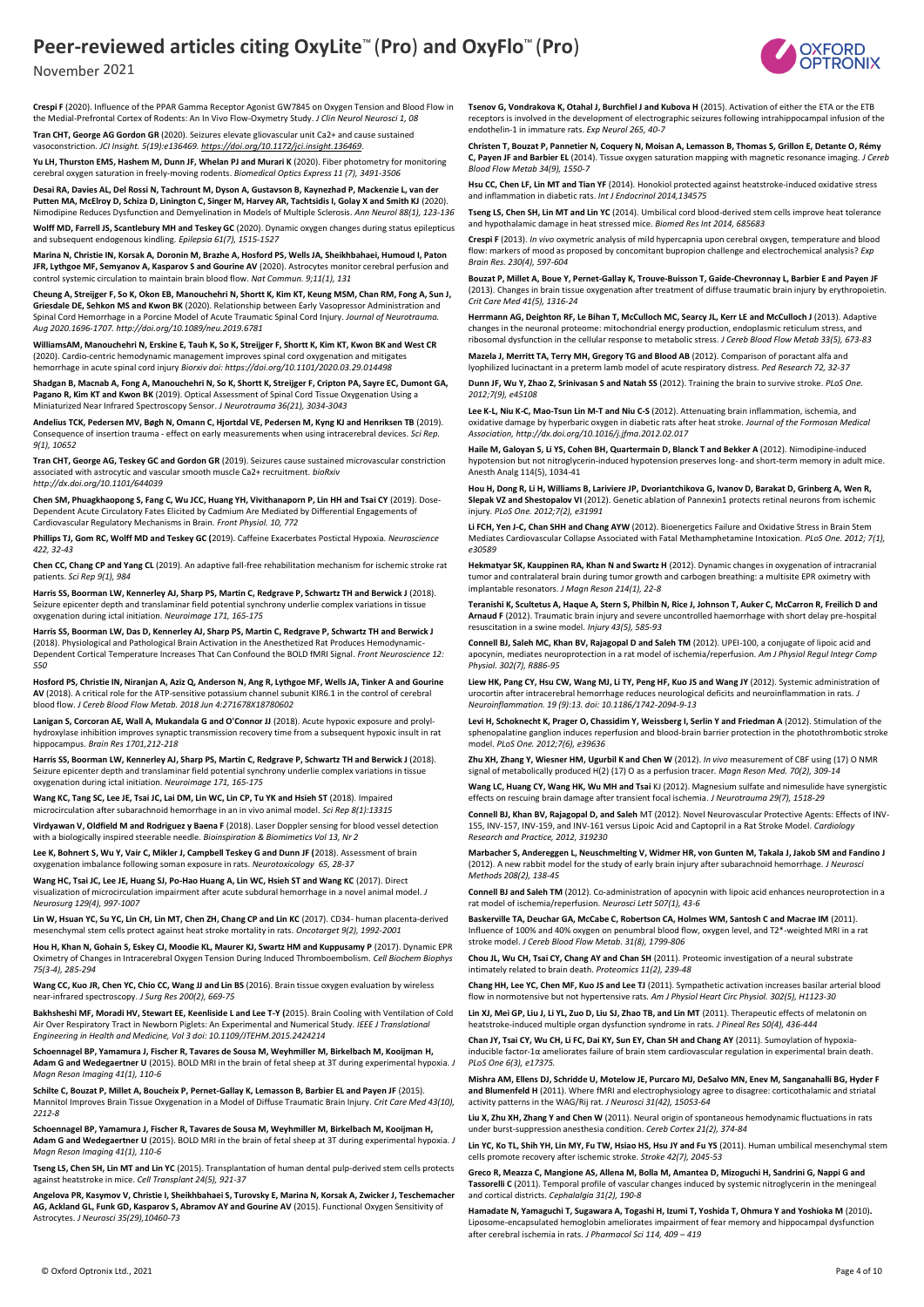

November 2021

**Crespi F** (2020). Influence of the PPAR Gamma Receptor Agonist GW7845 on Oxygen Tension and Blood Flow in the Medial-Prefrontal Cortex of Rodents: An In Vivo Flow-Oxymetry Study. *J Clin Neurol Neurosci 1, 08* **Tran CHT, George AG Gordon GR** (2020). Seizures elevate gliovascular unit Ca2+ and cause sustained vasoconstriction. *JCI Insight. 5(19):e136469[. https://doi.org/10.1172/jci.insight.136469](https://doi.org/10.1172/jci.insight.136469)*.

**Yu LH, Thurston EMS, Hashem M, Dunn JF, Whelan PJ and Murari K** (2020). Fiber photometry for monitoring cerebral oxygen saturation in freely-moving rodents. *Biomedical Optics Express 11 (7), 3491-3506*

**Desai RA, Davies AL, Del Rossi N, Tachrount M, Dyson A, Gustavson B, Kaynezhad P, Mackenzie L, van der Putten MA, McElroy D, Schiza D, Linington C, Singer M, Harvey AR, Tachtsidis I, Golay X and Smith KJ** (2020). Nimodipine Reduces Dysfunction and Demyelination in Models of Multiple Sclerosis. *Ann Neurol 88(1), 123-136*

**Wolff MD, Farrell JS, Scantlebury MH and Teskey GC** (2020). Dynamic oxygen changes during status epilepticus and subsequent endogenous kindling. *Epilepsia 61(7), 1515-1527*

**Marina N, Christie IN, Korsak A, Doronin M, Brazhe A, Hosford PS, Wells JA, Sheikhbahaei, Humoud I, Paton JFR, Lythgoe MF, Semyanov A, Kasparov S and Gourine AV** (2020). Astrocytes monitor cerebral perfusion and control systemic circulation to maintain brain blood flow. *Nat Commun. 9;11(1), 131*

**Cheung A, Streijger F, So K, Okon EB, Manouchehri N, Shortt K, Kim KT, Keung MSM, Chan RM, Fong A, Sun J, Griesdale DE, Sehkon MS and Kwon BK** (2020). Relationship between Early Vasopressor Administration and Spinal Cord Hemorrhage in a Porcine Model of Acute Traumatic Spinal Cord Injury. *Journal of Neurotrauma. Aug 2020.1696-1707. http://doi.org/10.1089/neu.2019.6781*

**WilliamsAM, Manouchehri N, Erskine E, Tauh K, So K, Streijger F, Shortt K, Kim KT, Kwon BK and West CR**  (2020). Cardio-centric hemodynamic management improves spinal cord oxygenation and mitigates hemorrhage in acute spinal cord injury *Biorxiv doi: https://doi.org/10.1101/2020.03.29.014498*

**Shadgan B, Macnab A, Fong A, Manouchehri N, So K, Shortt K, Streijger F, Cripton PA, Sayre EC, Dumont GA, Pagano R, Kim KT and Kwon BK** (2019). Optical Assessment of Spinal Cord Tissue Oxygenation Using a Miniaturized Near Infrared Spectroscopy Sensor. *J Neurotrauma 36(21), 3034-3043*

**Andelius TCK, Pedersen MV, Bøgh N, Omann C, Hjortdal VE, Pedersen M, Kyng KJ and Henriksen TB** (2019). Consequence of insertion trauma - effect on early measurements when using intracerebral devices. *Sci Rep. 9(1), 10652*

**Tran CHT, George AG, Teskey GC and Gordon GR** (2019). Seizures cause sustained microvascular constriction associated with astrocytic and vascular smooth muscle Ca2+ recruitment. *bioRxiv http://dx.doi.org/10.1101/644039*

**Chen SM, Phuagkhaopong S, Fang C, Wu JCC, Huang YH, Vivithanaporn P, Lin HH and Tsai CY** (2019). Dose-Dependent Acute Circulatory Fates Elicited by Cadmium Are Mediated by Differential Engagements of Cardiovascular Regulatory Mechanisms in Brain. *Front Physiol. 10, 772*

**Phillips TJ, Gom RC, Wolff MD and Teskey GC (**2019). Caffeine Exacerbates Postictal Hypoxia. *Neuroscience 422, 32-43*

**Chen CC, Chang CP and Yang CL** (2019). An adaptive fall-free rehabilitation mechanism for ischemic stroke rat patients. *Sci Rep 9(1), 984*

Harris SS, Boorman LW, Kennerley AJ, Sharp PS, Martin C, Redgrave P, Schwartz TH and Berwick J (2018). Seizure epicenter depth and translaminar field potential synchrony underlie complex variations in tissue oxygenation during ictal initiation. *Neuroimage 171, 165-175*

**Harris SS, Boorman LW, Das D, Kennerley AJ, Sharp PS, Martin C, Redgrave P, Schwartz TH and Berwick J**  (2018). Physiological and Pathological Brain Activation in the Anesthetized Rat Produces Hemodynamic-Dependent Cortical Temperature Increases That Can Confound the BOLD fMRI Signal. *Front Neuroscience 12: 550*

**Hosford PS, Christie IN, Niranjan A, Aziz Q, Anderson N, Ang R, Lythgoe MF, Wells JA, Tinker A and Gourine AV** (2018). A critical role for the ATP-sensitive potassium channel subunit KIR6.1 in the control of cerebral blood flow. *J Cereb Blood Flow Metab. 2018 Jun 4:271678X18780602*

Lanigan S, Corcoran AE, Wall A, Mukandala G and O'Connor JJ (2018). Acute hypoxic exposure and prolylhydroxylase inhibition improves synaptic transmission recovery time from a subsequent hypoxic insult in rat hippocampus. *Brain Res 1701,212-218*

Harris SS, Boorman LW, Kennerley AJ, Sharp PS, Martin C, Redgrave P, Schwartz TH and Berwick J (2018). Seizure epicenter depth and translaminar field potential synchrony underlie complex variations in tissue oxygenation during ictal initiation. *Neuroimage 171, 165-175*

**Wang KC, Tang SC, Lee JE, Tsai JC, Lai DM, Lin WC, Lin CP, Tu YK and Hsieh ST** (2018). Impaired microcirculation after subarachnoid hemorrhage in an in vivo animal model. *Sci Rep 8(1):13315*

**Virdyawan V, Oldfield M and Rodriguez y Baena F** (2018). Laser Doppler sensing for blood vessel detection with a biologically inspired steerable needle. *Bioinspiration & Biomimetics Vol 13, Nr 2*

**Lee K, Bohnert S, Wu Y, Vair C, Mikler J, Campbell Teskey G and Dunn JF (**2018). Assessment of brain oxygenation imbalance following soman exposure in rats. *Neurotoxicology 65, 28-37* 

**Wang HC, Tsai JC, Lee JE, Huang SJ, Po-Hao Huang A, Lin WC, Hsieh ST and Wang KC** (2017). Direct visualization of microcirculation impairment after acute subdural hemorrhage in a novel animal model. *J Neurosurg 129(4), 997-1007*

**Lin W, Hsuan YC, Su YC, Lin CH, Lin MT, Chen ZH, Chang CP and Lin KC** (2017). CD34- human placenta-derived mesenchymal stem cells protect against heat stroke mortality in rats. *Oncotarget 9(2), 1992-2001*

**Hou H, Khan N, Gohain S, Eskey CJ, Moodie KL, Maurer KJ, Swartz HM and Kuppusamy P** (2017). Dynamic EPR Oximetry of Changes in Intracerebral Oxygen Tension During Induced Thromboembolism. *Cell Biochem Biophys 75(3-4), 285-294*

**Wang CC, Kuo JR, Chen YC, Chio CC, Wang JJ and Lin BS** (2016). Brain tissue oxygen evaluation by wireless near-infrared spectroscopy. *J Surg Res 200(2), 669-75*

**Bakhsheshi MF, Moradi HV, Stewart EE, Keenliside L and Lee T-Y (**2015). Brain Cooling with Ventilation of Cold Air Over Respiratory Tract in Newborn Piglets: An Experimental and Numerical Study. *IEEE J Translational Engineering in Health and Medicine, Vol 3 doi: 10.1109/JTEHM.2015.2424214*

**Schoennagel BP, Yamamura J, Fischer R, Tavares de Sousa M, Weyhmiller M, Birkelbach M, Kooijman H, Adam G and Wedegaertner U** (2015). BOLD MRI in the brain of fetal sheep at 3T during experimental hypoxia. *J Magn Reson Imaging 41(1), 110-6*

**Schilte C, Bouzat P, Millet A, Boucheix P, Pernet-Gallay K, Lemasson B, Barbier EL and Payen JF** (2015). Mannitol Improves Brain Tissue Oxygenation in a Model of Diffuse Traumatic Brain Injury. *Crit Care Med 43(10), 2212-8*

**Schoennagel BP, Yamamura J, Fischer R, Tavares de Sousa M, Weyhmiller M, Birkelbach M, Kooijman H, Adam G and Wedegaertner U** (2015). BOLD MRI in the brain of fetal sheep at 3T during experimental hypoxia. *J Magn Reson Imaging 41(1), 110-6*

**Tseng LS, Chen SH, Lin MT and Lin YC** (2015). Transplantation of human dental pulp-derived stem cells protects against heatstroke in mice. *Cell Transplant 24(5), 921-37*

**Angelova PR, Kasymov V, Christie I, Sheikhbahaei S, Turovsky E, Marina N, Korsak A, Zwicker J, Teschemacher AG, Ackland GL, Funk GD, Kasparov S, Abramov AY and Gourine AV** (2015). Functional Oxygen Sensitivity of Astrocytes. *J Neurosci 35(29),10460-73*

**Tsenov G, Vondrakova K, Otahal J, Burchfiel J and Kubova H** (2015). Activation of either the ETA or the ETB receptors is involved in the development of electrographic seizures following intrahippocampal infusion of the endothelin-1 in immature rats. *Exp Neurol 265, 40-7*

**Christen T, Bouzat P, Pannetier N, Coquery N, Moisan A, Lemasson B, Thomas S, Grillon E, Detante O, Rémy C, Payen JF and Barbier EL** (2014). Tissue oxygen saturation mapping with magnetic resonance imaging. *J Cereb Blood Flow Metab 34(9), 1550-7*

**Hsu CC, Chen LF, Lin MT and Tian YF** (2014). Honokiol protected against heatstroke-induced oxidative stress and inflammation in diabetic rats. *Int J Endocrinol 2014,134575*

**Tseng LS, Chen SH, Lin MT and Lin YC** (2014). Umbilical cord blood-derived stem cells improve heat tolerance and hypothalamic damage in heat stressed mice. *Biomed Res Int 2014, 685683*

**Crespi F** (2013). *In vivo* oxymetric analysis of mild hypercapnia upon cerebral oxygen, temperature and blood flow: markers of mood as proposed by concomitant bupropion challenge and electrochemical analysis? *Exp Brain Res. 230(4), 597-604* 

**Bouzat P, Millet A, Boue Y, Pernet-Gallay K, Trouve-Buisson T, Gaide-Chevronnay L, Barbier E and Payen JF**  (2013). Changes in brain tissue oxygenation after treatment of diffuse traumatic brain injury by erythropoietin. *Crit Care Med 41(5), 1316-24*

Herrmann AG, Deighton RF, Le Bihan T, McCulloch MC, Searcy JL, Kerr LE and McCulloch J (2013). Adaptive changes in the neuronal proteome: mitochondrial energy production, endoplasmic reticulum stress, and ribosomal dysfunction in the cellular response to metabolic stress. *J Cereb Blood Flow Metab 33(5), 673-83*

**Mazela J, Merritt TA, Terry MH, Gregory TG and Blood AB** (2012). Comparison of poractant alfa and lyophilized lucinactant in a preterm lamb model of acute respiratory distress*. Ped Research 72, 32-37*

**Dunn JF, Wu Y, Zhao Z, Srinivasan S and Natah SS** (2012). Training the brain to survive stroke. *PLoS One. 2012;7(9), e45108*

**Lee K-L, Niu K-C, Mao-Tsun Lin M-T and Niu C-S** (2012). Attenuating brain inflammation, ischemia, and oxidative damage by hyperbaric oxygen in diabetic rats after heat stroke. *Journal of the Formosan Medical Association, http://dx.doi.org/10.1016/j.jfma.2012.02.017*

**Haile M, Galoyan S, Li YS, Cohen BH, Quartermain D, Blanck T and Bekker A** (2012). Nimodipine-induced hypotension but not nitroglycerin-induced hypotension preserves long- and short-term memory in adult mice. Anesth Analg 114(5), 1034-41

**Hou H, Dong R, Li H, Williams B, Lariviere JP, Dvoriantchikova G, Ivanov D, Barakat D, Grinberg A, Wen R, Slepak VZ and Shestopalov VI** (2012). Genetic ablation of Pannexin1 protects retinal neurons from ischemic injury. *PLoS One. 2012;7(2), e31991*

**Li FCH, Yen J-C, Chan SHH and Chang AYW** (2012). Bioenergetics Failure and Oxidative Stress in Brain Stem Mediates Cardiovascular Collapse Associated with Fatal Methamphetamine Intoxication. *PLoS One. 2012; 7(1), e30589*

**Hekmatyar SK, Kauppinen RA, Khan N and Swartz H** (2012). Dynamic changes in oxygenation of intracranial tumor and contralateral brain during tumor growth and carbogen breathing: a multisite EPR oximetry with implantable resonators. *J Magn Reson 214(1), 22-8*

**Teranishi K, Scultetus A, Haque A, Stern S, Philbin N, Rice J, Johnson T, Auker C, McCarron R, Freilich D and Arnaud F** (2012). Traumatic brain injury and severe uncontrolled haemorrhage with short delay pre-hospital resuscitation in a swine model. *Injury 43(5), 585-93*

**Connell BJ, Saleh MC, Khan BV, Rajagopal D and Saleh TM** (2012). UPEI-100, a conjugate of lipoic acid and apocynin, mediates neuroprotection in a rat model of ischemia/reperfusion. *Am J Physiol Regul Integr Comp Physiol. 302(7), R886-95*

**Liew HK, Pang CY, Hsu CW, Wang MJ, Li TY, Peng HF, Kuo JS and Wang JY** (2012). Systemic administration of urocortin after intracerebral hemorrhage reduces neurological deficits and neuroinflammation in rats. *J Neuroinflammation. 19 (9):13. doi: 10.1186/1742-2094-9-13*

**Levi H, Schoknecht K, Prager O, Chassidim Y, Weissberg I, Serlin Y and Friedman A** (2012). Stimulation of the sphenopalatine ganglion induces reperfusion and blood-brain barrier protection in the photothrombotic stroke model. *PLoS One. 2012;7(6), e39636*

**Zhu XH, Zhang Y, Wiesner HM, Ugurbil K and Chen W** (2012). *In vivo* measurement of CBF using (17) O NMR signal of metabolically produced H(2) (17) O as a perfusion tracer*. Magn Reson Med. 70(2), 309-14*

**Wang LC, Huang CY, Wang HK, Wu MH and Tsai** KJ (2012). Magnesium sulfate and nimesulide have synergistic effects on rescuing brain damage after transient focal ischemia. *J Neurotrauma 29(7), 1518-29*

**Connell BJ, Khan BV, Rajagopal D, and Saleh** MT (2012). Novel Neurovascular Protective Agents: Effects of INV-155, INV-157, INV-159, and INV-161 versus Lipoic Acid and Captopril in a Rat Stroke Model. *Cardiology Research and Practice, 2012, 319230* 

**Marbacher S, Andereggen L, Neuschmelting V, Widmer HR, von Gunten M, Takala J, Jakob SM and Fandino J**  (2012). A new rabbit model for the study of early brain injury after subarachnoid hemorrhage. *J Neurosci Methods 208(2), 138-45*

**Connell BJ and Saleh TM** (2012). Co-administration of apocynin with lipoic acid enhances neuroprotection in a rat model of ischemia/reperfusion. *Neurosci Lett 507(1), 43-6*

**Baskerville TA, Deuchar GA, McCabe C, Robertson CA, Holmes WM, Santosh C and Macrae IM** (2011). Influence of 100% and 40% oxygen on penumbral blood flow, oxygen level, and T2\*-weighted MRI in a rat stroke model. *J Cereb Blood Flow Metab. 31(8), 1799-806*

**Chou JL, Wu CH, Tsai CY, Chang AY and Chan SH** (2011). Proteomic investigation of a neural substrate intimately related to brain death. *Proteomics 11(2), 239-48*

**Chang HH, Lee YC, Chen MF, Kuo JS and Lee TJ** (2011). Sympathetic activation increases basilar arterial blood flow in normotensive but not hypertensive rats*. Am J Physiol Heart Circ Physiol. 302(5), H1123-30* 

**Lin XJ, Mei GP, Liu J, Li YL, Zuo D, Liu SJ, Zhao TB, and Lin MT** (2011). Therapeutic effects of melatonin on heatstroke-induced multiple organ dysfunction syndrome in rats. *J Pineal Res 50(4), 436-444*

**Chan JY, Tsai CY, Wu CH, Li FC, Dai KY, Sun EY, Chan SH and Chang AY** (2011). Sumoylation of hypoxiainducible factor-1α ameliorates failure of brain stem cardiovascular regulation in experimental brain death. *PLoS One 6(3), e17375.*

**Mishra AM, Ellens DJ, Schridde U, Motelow JE, Purcaro MJ, DeSalvo MN, Enev M, Sanganahalli BG, Hyder F and Blumenfeld H** (2011). Where fMRI and electrophysiology agree to disagree: corticothalamic and striatal activity patterns in the WAG/Rij rat. *J Neurosci 31(42), 15053-64*

**Liu X, Zhu XH, Zhang Y and Chen W** (2011). Neural origin of spontaneous hemodynamic fluctuations in rats under burst-suppression anesthesia condition. *Cereb Cortex 21(2), 374-84*

**Lin YC, Ko TL, Shih YH, Lin MY, Fu TW, Hsiao HS, Hsu JY and Fu YS** (2011). Human umbilical mesenchymal stem cells promote recovery after ischemic stroke. *Stroke 42(7), 2045-53*

**Greco R, Meazza C, Mangione AS, Allena M, Bolla M, Amantea D, Mizoguchi H, Sandrini G, Nappi G and Tassorelli C** (2011). Temporal profile of vascular changes induced by systemic nitroglycerin in the meningeal and cortical districts. *Cephalalgia 31(2), 190-8*

**Hamadate N, Yamaguchi T, Sugawara A, Togashi H, Izumi T, Yoshida T, Ohmura Y and Yoshioka M** (2010)**.** Liposome-encapsulated hemoglobin ameliorates impairment of fear memory and hippocampal dysfunction after cerebral ischemia in rats. *J Pharmacol Sci 114, 409 – 419*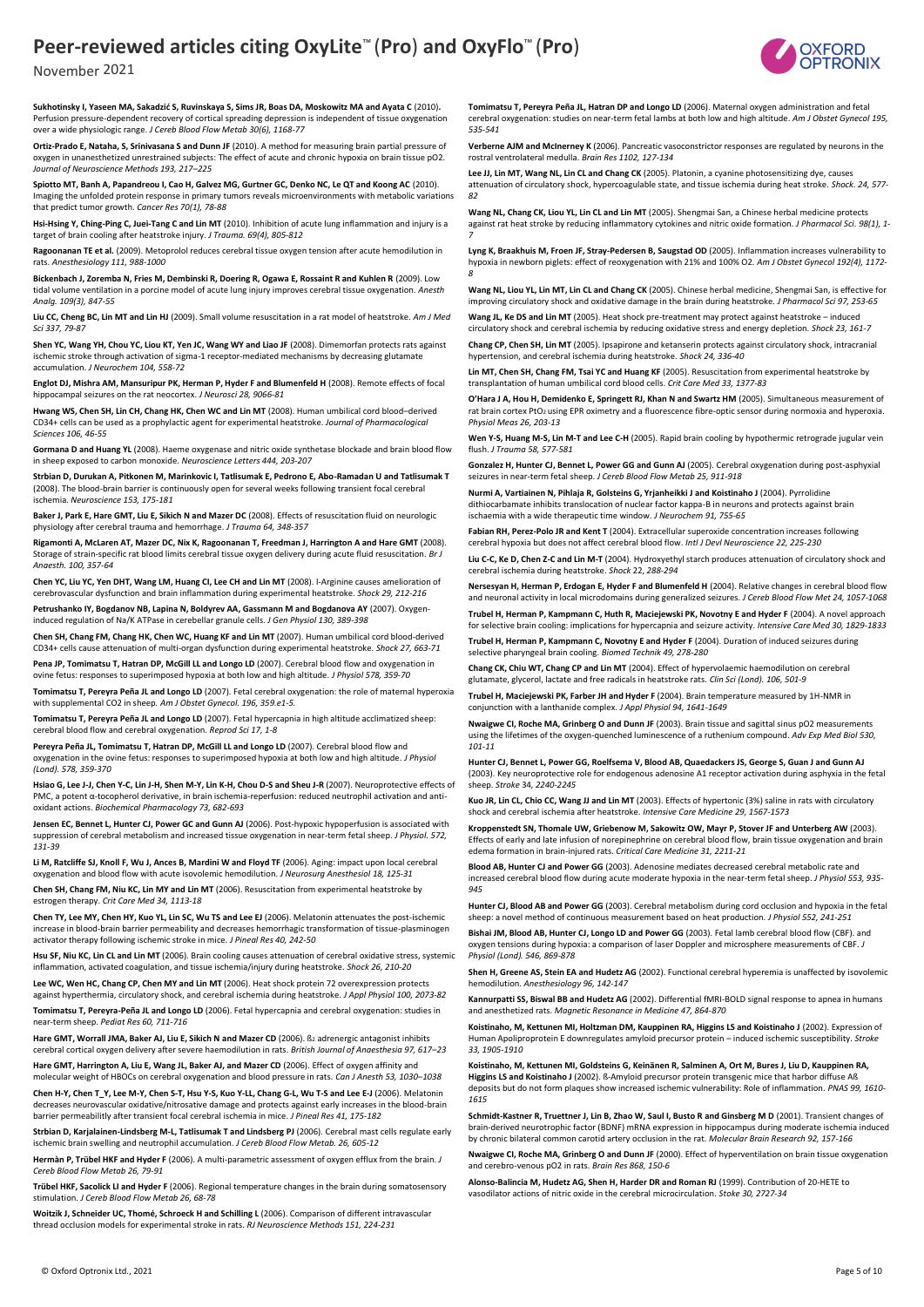

**Sukhotinsky I, Yaseen MA, Sakadzić S, Ruvinskaya S, Sims JR, Boas DA, Moskowitz MA and Ayata C** (2010)**.** Perfusion pressure-dependent recovery of cortical spreading depression is independent of tissue oxygenation over a wide physiologic range. *J Cereb Blood Flow Metab 30(6), 1168-77*

**Ortiz-Prado E, Nataha, S, Srinivasana S and Dunn JF** (2010). A method for measuring brain partial pressure of oxygen in unanesthetized unrestrained subjects: The effect of acute and chronic hypoxia on brain tissue pO2. *Journal of Neuroscience Methods 193, 217–225*

**Spiotto MT, Banh A, Papandreou I, Cao H, Galvez MG, Gurtner GC, Denko NC, Le QT and Koong AC** (2010). Imaging the unfolded protein response in primary tumors reveals microenvironments with metabolic variations that predict tumor growth. *Cancer Res 70(1), 78-88*

**Hsi-Hsing Y, Ching-Ping C, Juei-Tang C and Lin MT** (2010). Inhibition of acute lung inflammation and injury is a target of brain cooling after heatstroke injury. *J Trauma. 69(4), 805-812* 

**Ragoonanan TE et al.** (2009). Metoprolol reduces cerebral tissue oxygen tension after acute hemodilution in rats. *Anesthesiology 111, 988-1000*

**Bickenbach J, Zoremba N, Fries M, Dembinski R, Doering R, Ogawa E, Rossaint R and Kuhlen R** (2009). Low tidal volume ventilation in a porcine model of acute lung injury improves cerebral tissue oxygenation. *Anesth Analg. 109(3), 847-55*

**Liu CC, Cheng BC, Lin MT and Lin HJ** (2009). Small volume resuscitation in a rat model of heatstroke. *Am J Med Sci 337, 79-87*

**Shen YC, Wang YH, Chou YC, Liou KT, Yen JC, Wang WY and Liao JF** (2008). Dimemorfan protects rats against ischemic stroke through activation of sigma-1 receptor-mediated mechanisms by decreasing glutamate accumulation. *J Neurochem 104, 558-72*

**Englot DJ, Mishra AM, Mansuripur PK, Herman P, Hyder F and Blumenfeld H** (2008). Remote effects of focal hippocampal seizures on the rat neocortex. *J Neurosci 28, 9066-81*

**Hwang WS, Chen SH, Lin CH, Chang HK, Chen WC and Lin MT** (2008). Human umbilical cord blood–derived CD34+ cells can be used as a prophylactic agent for experimental heatstroke. *Journal of Pharmacological Sciences 106, 46-55*

**Gormana D and Huang YL** (2008). Haeme oxygenase and nitric oxide synthetase blockade and brain blood flow in sheep exposed to carbon monoxide. *Neuroscience Letters 444, 203-207*

**Strbian D, Durukan A, Pitkonen M, Marinkovic I, Tatlisumak E, Pedrono E, Abo-Ramadan U and Tatlisumak T** (2008). The blood-brain barrier is continuously open for several weeks following transient focal cerebral ischemia. *Neuroscience 153, 175-181*

**Baker J, Park E, Hare GMT, Liu E, Sikich N and Mazer DC** (2008). Effects of resuscitation fluid on neurologic physiology after cerebral trauma and hemorrhage. *J Trauma 64, 348-357*

**Rigamonti A, McLaren AT, Mazer DC, Nix K, Ragoonanan T, Freedman J, Harrington A and Hare GMT** (2008). Storage of strain-specific rat blood limits cerebral tissue oxygen delivery during acute fluid resuscitation. *Br J Anaesth. 100, 357-64*

**Chen YC, Liu YC, Yen DHT, Wang LM, Huang CI, Lee CH and Lin MT** (2008). l-Arginine causes amelioration of cerebrovascular dysfunction and brain inflammation during experimental heatstroke. *Shock 29, 212-216*

**Petrushanko IY, Bogdanov NB, Lapina N, Boldyrev AA, Gassmann M and Bogdanova AY** (2007). Oxygeninduced regulation of Na/K ATPase in cerebellar granule cells. *J Gen Physiol 130, 389-398* 

**Chen SH, Chang FM, Chang HK, Chen WC, Huang KF and Lin MT** (2007). Human umbilical cord blood-derived CD34+ cells cause attenuation of multi-organ dysfunction during experimental heatstroke. *Shock 27, 663-71*

**Pena JP, Tomimatsu T, Hatran DP, McGill LL and Longo LD** (2007). Cerebral blood flow and oxygenation in ovine fetus: responses to superimposed hypoxia at both low and high altitude. *J Physiol 578, 359-70*

**Tomimatsu T, Pereyra Peña JL and Longo LD** (2007). Fetal cerebral oxygenation: the role of maternal hyperoxia with supplemental CO2 in sheep*. Am J Obstet Gynecol. 196, 359.e1-5.*

**Tomimatsu T, Pereyra Peña JL and Longo LD** (2007). Fetal hypercapnia in high altitude acclimatized sheep: cerebral blood flow and cerebral oxygenation. *Reprod Sci 17, 1-8*

**Pereyra Peña JL, Tomimatsu T, Hatran DP, McGill LL and Longo LD** (2007). Cerebral blood flow and oxygenation in the ovine fetus: responses to superimposed hypoxia at both low and high altitude. *J Physiol (Lond). 578, 359-370*

**Hsiao G, Lee J-J, Chen Y-C, Lin J-H, Shen M-Y, Lin K-H, Chou D-S and Sheu J-R** (2007). Neuroprotective effects of PMC, a potent α-tocopherol derivative, in brain ischemia-reperfusion: reduced neutrophil activation and antioxidant actions. *Biochemical Pharmacology 73, 682-693*

**Jensen EC, Bennet L, Hunter CJ, Power GC and Gunn AJ** (2006). Post-hypoxic hypoperfusion is associated with suppression of cerebral metabolism and increased tissue oxygenation in near-term fetal sheep. *J Physiol. 572, 131-39*

**Li M, Ratcliffe SJ, Knoll F, Wu J, Ances B, Mardini W and Floyd TF** (2006). Aging: impact upon local cerebral oxygenation and blood flow with acute isovolemic hemodilution. *J Neurosurg Anesthesiol 18, 125-31*

**Chen SH, Chang FM, Niu KC, Lin MY and Lin MT** (2006). Resuscitation from experimental heatstroke by estrogen therapy. *Crit Care Med 34, 1113-18*

**Chen TY, Lee MY, Chen HY, Kuo YL, Lin SC, Wu TS and Lee EJ** (2006). Melatonin attenuates the post-ischemic increase in blood-brain barrier permeability and decreases hemorrhagic transformation of tissue-plasminogen activator therapy following ischemic stroke in mice. *J Pineal Res 40, 242-50*

**Hsu SF, Niu KC, Lin CL and Lin MT** (2006). Brain cooling causes attenuation of cerebral oxidative stress, systemic inflammation, activated coagulation, and tissue ischemia/injury during heatstroke*. Shock 26, 210-20*

Lee WC, Wen HC, Chang CP, Chen MY and Lin MT (2006). Heat shock protein 72 overexpression prote against hyperthermia, circulatory shock, and cerebral ischemia during heatstroke*. J Appl Physiol 100, 2073-82*

**Tomimatsu T, Pereyra-Peña JL and Longo LD** (2006). Fetal hypercapnia and cerebral oxygenation: studies in near-term sheep. *Pediat Res 60, 711-716*

Hare GMT, Worrall JMA, Baker AJ, Liu E, Sikich N and Mazer CD (2006). B<sub>2</sub> adrenergic antagonist inhibits cerebral cortical oxygen delivery after severe haemodilution in rats. *British Journal of Anaesthesia 97, 617–23*

**Hare GMT, Harrington A, Liu E, Wang JL, Baker AJ, and Mazer CD** (2006). Effect of oxygen affinity and molecular weight of HBOCs on cerebral oxygenation and blood pressure in rats. *Can J Anesth 53, 1030–1038*

**Chen H-Y, Chen T\_Y, Lee M-Y, Chen S-T, Hsu Y-S, Kuo Y-LL, Chang G-L, Wu T-S and Lee E-J** (2006). Melatonin decreases neurovascular oxidative/nitrosative damage and protects against early increases in the blood-brain barrier permeabilitly after transient focal cerebral ischemia in mice. *J Pineal Res 41, 175-182*

**Strbian D, Karjalainen-Lindsberg M-L, Tatlisumak T and Lindsberg PJ** (2006). Cerebral mast cells regulate early ischemic brain swelling and neutrophil accumulation. *J Cereb Blood Flow Metab. 26, 605-12*

**Hermàn P, Trübel HKF and Hyder F** (2006). A multi-parametric assessment of oxygen efflux from the brain. *J Cereb Blood Flow Metab 26, 79-91*

**Trübel HKF, Sacolick LI and Hyder F** (2006). Regional temperature changes in the brain during somatosensory stimulation. *J Cereb Blood Flow Metab 26, 68-78*

**Woitzik J, Schneider UC, Thomé, Schroeck H and Schilling L** (2006). Comparison of different intravascular thread occlusion models for experimental stroke in rats. *RJ Neuroscience Methods 151, 224-231*

**Tomimatsu T, Pereyra Peña JL, Hatran DP and Longo LD** (2006). Maternal oxygen administration and fetal cerebral oxygenation: studies on near-term fetal lambs at both low and high altitude. *Am J Obstet Gynecol 195, 535-541*

**Verberne AJM and McInerney K** (2006). Pancreatic vasoconstrictor responses are regulated by neurons in the rostral ventrolateral medulla. *Brain Res 1102, 127-134*

**Lee JJ, Lin MT, Wang NL, Lin CL and Chang CK** (2005). Platonin, a cyanine photosensitizing dye, causes attenuation of circulatory shock, hypercoagulable state, and tissue ischemia during heat stroke. *Shock. 24, 577- 82*

**Wang NL, Chang CK, Liou YL, Lin CL and Lin MT** (2005). Shengmai San, a Chinese herbal medicine protects against rat heat stroke by reducing inflammatory cytokines and nitric oxide formation*. J Pharmacol Sci. 98(1), 1- 7*

**Lyng K, Braakhuis M, Froen JF, Stray-Pedersen B, Saugstad OD** (2005). Inflammation increases vulnerability to hypoxia in newborn piglets: effect of reoxygenation with 21% and 100% O2*. Am J Obstet Gynecol 192(4), 1172- 8*

**Wang NL, Liou YL, Lin MT, Lin CL and Chang CK** (2005). Chinese herbal medicine, Shengmai San, is effective for<br>improving circulatory shock and oxidative damage in the brain during heatstroke. *J Pharmacol Sci 97, 253-65* 

**Wang JL, Ke DS and Lin MT** (2005). Heat shock pre-treatment may protect against heatstroke – induced circulatory shock and cerebral ischemia by reducing oxidative stress and energy depletion. *Shock 23, 161-7*

**Chang CP, Chen SH, Lin MT** (2005). Ipsapirone and ketanserin protects against circulatory shock, intracranial hypertension, and cerebral ischemia during heatstroke. *Shock 24, 336-40*

**Lin MT, Chen SH, Chang FM, Tsai YC and Huang KF** (2005). Resuscitation from experimental heatstroke by transplantation of human umbilical cord blood cells. *Crit Care Med 33, 1377-83*

**O'Hara J A, Hou H, Demidenko E, Springett RJ, Khan N and Swartz HM** (2005). Simultaneous measurement of rat brain cortex PtO<sub>2</sub> using EPR oximetry and a fluorescence fibre-optic sensor during normoxia and hyperoxia. *Physiol Meas 26, 203-13* 

**Wen Y-S, Huang M-S, Lin M-T and Lee C-H** (2005). Rapid brain cooling by hypothermic retrograde jugular vein flush. *J Trauma 58, 577-581*

**Gonzalez H, Hunter CJ, Bennet L, Power GG and Gunn AJ** (2005). Cerebral oxygenation during post-asphyxial seizures in near-term fetal sheep. *J Cereb Blood Flow Metab 25, 911-918* 

**Nurmi A, Vartiainen N, Pihlaja R, Golsteins G, Yrjanheikki J and Koistinaho J** (2004). Pyrrolidine dithiocarbamate inhibits translocation of nuclear factor kappa-B in neurons and protects against brain ischaemia with a wide therapeutic time window. *J Neurochem 91, 755-65*

Fabian RH, Perez-Polo JR and Kent T (2004). Extracellular superoxide concentration increases following cerebral hypoxia but does not affect cerebral blood flow. *Intl J Devl Neuroscience 22, 225-230* **Liu C-C, Ke D, Chen Z-C and Lin M-T** (2004). Hydroxyethyl starch produces attenuation of circulatory shock and

cerebral ischemia during heatstroke. *Shock* 22, *288-294*

**Nersesyan H, Herman P, Erdogan E, Hyder F and Blumenfeld H** (2004). Relative changes in cerebral blood flow and neuronal activity in local microdomains during generalized seizures. *J Cereb Blood Flow Met 24, 1057-1068*

**Trubel H, Herman P, Kampmann C, Huth R, Maciejewski PK, Novotny E and Hyder F** (2004). A novel approach for selective brain cooling: implications for hypercapnia and seizure activity. *Intensive Care Med 30, 1829-1833*

**Trubel H, Herman P, Kampmann C, Novotny E and Hyder F** (2004). Duration of induced seizures during selective pharyngeal brain cooling. *Biomed Technik 49, 278-280*

**Chang CK, Chiu WT, Chang CP and Lin MT** (2004). Effect of hypervolaemic haemodilution on cerebral glutamate, glycerol, lactate and free radicals in heatstroke rats. *Clin Sci (Lond). 106, 501-9*

**Trubel H, Maciejewski PK, Farber JH and Hyder F** (2004). Brain temperature measured by 1H-NMR in conjunction with a lanthanide complex. *J Appl Physiol 94, 1641-1649*

**Nwaigwe CI, Roche MA, Grinberg O and Dunn JF** (2003). Brain tissue and sagittal sinus pO2 measurements using the lifetimes of the oxygen-quenched luminescence of a ruthenium compound. *Adv Exp Med Biol 530, 101-11*

**Hunter CJ, Bennet L, Power GG, Roelfsema V, Blood AB, Quaedackers JS, George S, Guan J and Gunn AJ**  (2003). Key neuroprotective role for endogenous adenosine A1 receptor activation during asphyxia in the fetal sheep. *Stroke* 34*, 2240-2245*

**Kuo JR, Lin CL, Chio CC, Wang JJ and Lin MT** (2003). Effects of hypertonic (3%) saline in rats with circulatory shock and cerebral ischemia after heatstroke. *Intensive Care Medicine 29, 1567-1573*

**Kroppenstedt SN, Thomale UW, Griebenow M, Sakowitz OW, Mayr P, Stover JF and Unterberg AW** (2003). Effects of early and late infusion of norepinephrine on cerebral blood flow, brain tissue oxygenation and brain edema formation in brain-injured rats. *Critical Care Medicine 31, 2211-21*

**Blood AB, Hunter CJ and Power GG** (2003). Adenosine mediates decreased cerebral metabolic rate and increased cerebral blood flow during acute moderate hypoxia in the near-term fetal sheep. *J Physiol 553, 935- 945*

**Hunter CJ, Blood AB and Power GG** (2003). Cerebral metabolism during cord occlusion and hypoxia in the fetal sheep: a novel method of continuous measurement based on heat production. *J Physiol 552, 241-251*

**Bishai JM, Blood AB, Hunter CJ, Longo LD and Power GG** (2003). Fetal lamb cerebral blood flow (CBF). and oxygen tensions during hypoxia: a comparison of laser Doppler and microsphere measurements of CBF. *J Physiol (Lond). 546, 869-878*

**Shen H, Greene AS, Stein EA and Hudetz AG** (2002). Functional cerebral hyperemia is unaffected by isovolemic hemodilution. *Anesthesiology 96, 142-147*

**Kannurpatti SS, Biswal BB and Hudetz AG** (2002). Differential fMRI-BOLD signal response to apnea in humans and anesthetized rats. *Magnetic Resonance in Medicine 47, 864-870*

**Koistinaho, M, Kettunen MI, Holtzman DM, Kauppinen RA, Higgins LS and Koistinaho J** (2002). Expression of Human Apoliproprotein E downregulates amyloid precursor protein – induced ischemic susceptibility. *Stroke 33, 1905-1910*

**Koistinaho, M, Kettunen MI, Goldsteins G, Keinänen R, Salminen A, Ort M, Bures J, Liu D, Kauppinen RA, Higgins LS and Koistinaho J** (2002). ß-Amyloid precursor protein transgenic mice that harbor diffuse Aß deposits but do not form plaques show increased ischemic vulnerability: Role of inflammation. *PNAS 99, 1610- 1615*

**Schmidt-Kastner R, Truettner J, Lin B, Zhao W, Saul I, Busto R and Ginsberg M D** (2001). Transient changes of brain-derived neurotrophic factor (BDNF) mRNA expression in hippocampus during moderate ischemia induced by chronic bilateral common carotid artery occlusion in the rat. *Molecular Brain Research 92, 157-166*

**Nwaigwe CI, Roche MA, Grinberg O and Dunn JF** (2000). Effect of hyperventilation on brain tissue oxygenation and cerebro-venous pO2 in rats. *Brain Res 868, 150-6*

**Alonso-Balincia M, Hudetz AG, Shen H, Harder DR and Roman RJ** (1999). Contribution of 20-HETE to vasodilator actions of nitric oxide in the cerebral microcirculation. *Stoke 30, 2727-34*

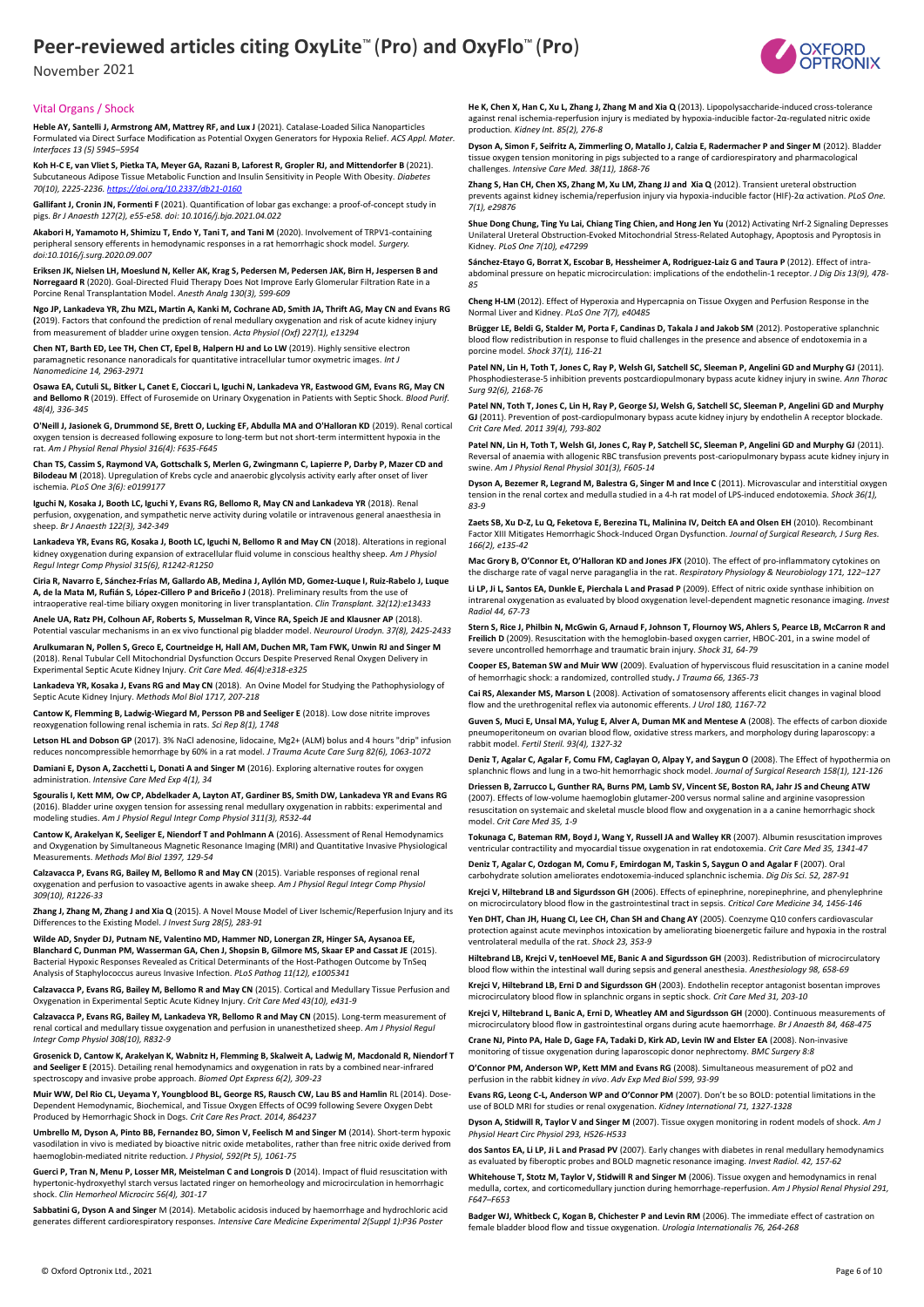November 2021



#### Vital Organs / Shock

**Heble AY, Santelli J, Armstrong AM, Mattrey RF, and Lux J** (2021). Catalase-Loaded Silica Nanoparticles Formulated via Direct Surface Modification as Potential Oxygen Generators for Hypoxia Relief*. ACS Appl. Mater. Interfaces 13 (5) 5945–5954*

**Koh H-C E, van Vliet S, Pietka TA, Meyer GA, Razani B, Laforest R, Gropler RJ, and Mittendorfer B** (2021). Subcutaneous Adipose Tissue Metabolic Function and Insulin Sensitivity in People With Obesity. *Diabetes 70(10), 2225-2236[. https://doi.org/10.2337/db21-0160](https://doi.org/10.2337/db21-0160)*

**Gallifant J, Cronin JN, Formenti F** (2021). Quantification of lobar gas exchange: a proof-of-concept study in pigs. *Br J Anaesth 127(2), e55-e58. doi: 10.1016/j.bja.2021.04.022*

**Akabori H, Yamamoto H, Shimizu T, Endo Y, Tani T, and Tani M** (2020). Involvement of TRPV1-containing peripheral sensory efferents in hemodynamic responses in a rat hemorrhagic shock model. *Surgery. doi:10.1016/j.surg.2020.09.007*

**Eriksen JK, Nielsen LH, Moeslund N, Keller AK, Krag S, Pedersen M, Pedersen JAK, Birn H, Jespersen B and Norregaard R** (2020). Goal-Directed Fluid Therapy Does Not Improve Early Glomerular Filtration Rate in a Porcine Renal Transplantation Model. *Anesth Analg 130(3), 599-609*

**Ngo JP, Lankadeva YR, Zhu MZL, Martin A, Kanki M, Cochrane AD, Smith JA, Thrift AG, May CN and Evans RG (**2019). Factors that confound the prediction of renal medullary oxygenation and risk of acute kidney injury from measurement of bladder urine oxygen tension. *Acta Physiol (Oxf) 227(1), e13294*

**Chen NT, Barth ED, Lee TH, Chen CT, Epel B, Halpern HJ and Lo LW** (2019). Highly sensitive electron paramagnetic resonance nanoradicals for quantitative intracellular tumor oxymetric images. *Int J Nanomedicine 14, 2963-2971*

**Osawa EA, Cutuli SL, Bitker L, Canet E, Cioccari L, Iguchi N, Lankadeva YR, Eastwood GM, Evans RG, May CN and Bellomo R** (2019). Effect of Furosemide on Urinary Oxygenation in Patients with Septic Shock. *Blood Purif. 48(4), 336-345*

**O'Neill J, Jasionek G, Drummond SE, Brett O, Lucking EF, Abdulla MA and O'Halloran KD** (2019). Renal cortical oxygen tension is decreased following exposure to long-term but not short-term intermittent hypoxia in the rat. *Am J Physiol Renal Physiol 316(4): F635-F645*

**Chan TS, Cassim S, Raymond VA, Gottschalk S, Merlen G, Zwingmann C, Lapierre P, Darby P, Mazer CD and Bilodeau M** (2018). Upregulation of Krebs cycle and anaerobic glycolysis activity early after onset of liver ischemia. *PLoS One 3(6): e0199177*

**Iguchi N, Kosaka J, Booth LC, Iguchi Y, Evans RG, Bellomo R, May CN and Lankadeva YR** (2018). Renal perfusion, oxygenation, and sympathetic nerve activity during volatile or intravenous general anaesthesia in sheep. *Br J Anaesth 122(3), 342-349*

**Lankadeva YR, Evans RG, Kosaka J, Booth LC, Iguchi N, Bellomo R and May CN** (2018). Alterations in regional<br>kidney oxygenation during expansion of extracellular fluid volume in conscious healthy sheep. *Am J Physiol Regul Integr Comp Physiol 315(6), R1242-R1250*

**Ciria R, Navarro E, Sánchez-Frías M, Gallardo AB, Medina J, Ayllón MD, Gomez-Luque I, Ruiz-Rabelo J, Luque A, de la Mata M, Rufián S, López-Cillero P and Briceño J** (2018). Preliminary results from the use of intraoperative real-time biliary oxygen monitoring in liver transplantation. *Clin Transplant. 32(12):e13433* 

**Anele UA, Ratz PH, Colhoun AF, Roberts S, Musselman R, Vince RA, Speich JE and Klausner AP** (2018). Potential vascular mechanisms in an ex vivo functional pig bladder model. *Neurourol Urodyn. 37(8), 2425-2433*

**Arulkumaran N, Pollen S, Greco E, Courtneidge H, Hall AM, Duchen MR, Tam FWK, Unwin RJ and Singer M**  (2018). Renal Tubular Cell Mitochondrial Dysfunction Occurs Despite Preserved Renal Oxygen Delivery in Experimental Septic Acute Kidney Injury. *Crit Care Med. 46(4):e318-e325*

**Lankadeva YR, Kosaka J, Evans RG and May CN** (2018). An Ovine Model for Studying the Pathophysiology of Septic Acute Kidney Injury. *Methods Mol Biol 1717, 207-218*

**Cantow K, Flemming B, Ladwig-Wiegard M, Persson PB and Seeliger E** (2018). Low dose nitrite improves reoxygenation following renal ischemia in rats. *Sci Rep 8(1), 1748*

**Letson HL and Dobson GP** (2017). 3% NaCl adenosine, lidocaine, Mg2+ (ALM) bolus and 4 hours "drip" infusion reduces noncompressible hemorrhage by 60% in a rat model. *J Trauma Acute Care Surg 82(6), 1063-1072*

**Damiani E, Dyson A, Zacchetti L, Donati A and Singer M** (2016). Exploring alternative routes for oxygen administration. *Intensive Care Med Exp 4(1), 34*

**Sgouralis I, Kett MM, Ow CP, Abdelkader A, Layton AT, Gardiner BS, Smith DW, Lankadeva YR and Evans RG**  (2016). Bladder urine oxygen tension for assessing renal medullary oxygenation in rabbits: experimental and modeling studies. *Am J Physiol Regul Integr Comp Physiol 311(3), R532-44*

**Cantow K, Arakelyan K, Seeliger E, Niendorf T and Pohlmann A** (2016). Assessment of Renal Hemodynamics and Oxygenation by Simultaneous Magnetic Resonance Imaging (MRI) and Quantitative Invasive Physiological Measurements. *Methods Mol Biol 1397, 129-54*

**Calzavacca P, Evans RG, Bailey M, Bellomo R and May CN** (2015). Variable responses of regional renal oxygenation and perfusion to vasoactive agents in awake sheep. *Am J Physiol Regul Integr Comp Physiol 309(10), R1226-33*

**Zhang J, Zhang M, Zhang J and Xia Q** (2015). A Novel Mouse Model of Liver Ischemic/Reperfusion Injury and its Differences to the Existing Model. *J Invest Surg 28(5), 283-91* 

**Wilde AD, Snyder DJ, Putnam NE, Valentino MD, Hammer ND, Lonergan ZR, Hinger SA, Aysanoa EE, Blanchard C, Dunman PM, Wasserman GA, Chen J, Shopsin B, Gilmore MS, Skaar EP and Cassat JE** (2015). Bacterial Hypoxic Responses Revealed as Critical Determinants of the Host-Pathogen Outcome by TnSeq Analysis of Staphylococcus aureus Invasive Infection. *PLoS Pathog 11(12), e1005341*

**Calzavacca P, Evans RG, Bailey M, Bellomo R and May CN** (2015). Cortical and Medullary Tissue Perfusion and Oxygenation in Experimental Septic Acute Kidney Injury. *Crit Care Med 43(10), e431-9*

**Calzavacca P, Evans RG, Bailey M, Lankadeva YR, Bellomo R and May CN** (2015). Long-term measurement of renal cortical and medullary tissue oxygenation and perfusion in unanesthetized sheep. *Am J Physiol Regul Integr Comp Physiol 308(10), R832-9*

**Grosenick D, Cantow K, Arakelyan K, Wabnitz H, Flemming B, Skalweit A, Ladwig M, Macdonald R, Niendorf T and Seeliger E** (2015). Detailing renal hemodynamics and oxygenation in rats by a combined near-infrared spectroscopy and invasive probe approach. *Biomed Opt Express 6(2), 309-23*

**Muir WW, Del Rio CL, Ueyama Y, Youngblood BL, George RS, Rausch CW, Lau BS and Hamlin** RL (2014). Dose-Dependent Hemodynamic, Biochemical, and Tissue Oxygen Effects of OC99 following Severe Oxygen Debt Produced by Hemorrhagic Shock in Dogs*. Crit Care Res Pract. 2014, 864237*

**Umbrello M, Dyson A, Pinto BB, Fernandez BO, Simon V, Feelisch M and Singer M** (2014). Short-term hypoxic vasodilation in vivo is mediated by bioactive nitric oxide metabolites, rather than free nitric oxide derived from haemoglobin-mediated nitrite reduction. *J Physiol, 592(Pt 5), 1061-75*

**Guerci P, Tran N, Menu P, Losser MR, Meistelman C and Longrois D** (2014). Impact of fluid resuscitation with hypertonic-hydroxyethyl starch versus lactated ringer on hemorheology and microcirculation in hemorrhagic shock. *Clin Hemorheol Microcirc 56(4), 301-17*

**Sabbatini G, Dyson A and Singer** M (2014). Metabolic acidosis induced by haemorrhage and hydrochloric acid generates different cardiorespiratory responses*. Intensive Care Medicine Experimental 2(Suppl 1):P36 Poster*

**He K, Chen X, Han C, Xu L, Zhang J, Zhang M and Xia Q** (2013). Lipopolysaccharide-induced cross-tolerance against renal ischemia-reperfusion injury is mediated by hypoxia-inducible factor-2α-regulated nitric oxide production*. Kidney Int. 85(2), 276-8* 

**Dyson A, Simon F, Seifritz A, Zimmerling O, Matallo J, Calzia E, Radermacher P and Singer M** (2012). Bladder tissue oxygen tension monitoring in pigs subjected to a range of cardiorespiratory and pharmacological challenges. *Intensive Care Med. 38(11), 1868-76*

**Zhang S, Han CH, Chen XS, Zhang M, Xu LM, Zhang JJ and Xia Q** (2012). Transient ureteral obstruction prevents against kidney ischemia/reperfusion injury via hypoxia-inducible factor (HIF)-2α activation. *PLoS One. 7(1), e29876*

**Shue Dong Chung, Ting Yu Lai, Chiang Ting Chien, and Hong Jen Yu** (2012) Activating Nrf-2 Signaling Depresses Unilateral Ureteral Obstruction-Evoked Mitochondrial Stress-Related Autophagy, Apoptosis and Pyroptosis in Kidney*. PLoS One 7(10), e47299*

Sánchez-Etayo G, Borrat X, Escobar B, Hessheimer A, Rodriguez-Laiz G and Taura P (2012). Effect of intraabdominal pressure on hepatic microcirculation: implications of the endothelin-1 receptor. *J Dig Dis 13(9), 478- 85*

**Cheng H-LM** (2012). Effect of Hyperoxia and Hypercapnia on Tissue Oxygen and Perfusion Response in the Normal Liver and Kidney. *PLoS One 7(7), e40485*

**Brügger LE, Beldi G, Stalder M, Porta F, Candinas D, Takala J and Jakob SM** (2012). Postoperative splanchnic blood flow redistribution in response to fluid challenges in the presence and absence of endotoxemia in a porcine model. *Shock 37(1), 116-21*

Patel NN, Lin H, Toth T, Jones C, Ray P, Welsh GI, Satchell SC, Sleeman P, Angelini GD and Murphy GJ (2011). Phosphodiesterase-5 inhibition prevents postcardiopulmonary bypass acute kidney injury in swine. *Ann Thorac Surg 92(6), 2168-76*

**Patel NN, Toth T, Jones C, Lin H, Ray P, George SJ, Welsh G, Satchell SC, Sleeman P, Angelini GD and Murphy GJ** (2011). Prevention of post-cardiopulmonary bypass acute kidney injury by endothelin A receptor blockade *Crit Care Med. 2011 39(4), 793-802*

**Patel NN, Lin H, Toth T, Welsh GI, Jones C, Ray P, Satchell SC, Sleeman P, Angelini GD and Murphy GJ** (2011). Reversal of anaemia with allogenic RBC transfusion prevents post-cariopulmonary bypass acute kidney injury in swine. *Am J Physiol Renal Physiol 301(3), F605-14*

**Dyson A, Bezemer R, Legrand M, Balestra G, Singer M and Ince C** (2011). Microvascular and interstitial oxygen tension in the renal cortex and medulla studied in a 4-h rat model of LPS-induced endotoxemia. *Shock 36(1), 83-9*

**Zaets SB, Xu D-Z, Lu Q, Feketova E, Berezina TL, Malinina IV, Deitch EA and Olsen EH** (2010). Recombinant Factor XIII Mitigates Hemorrhagic Shock-Induced Organ Dysfunction. *Journal of Surgical Research, J Surg Res. 166(2), e135-42*

**Mac Grory B, O'Connor Et, O'Halloran KD and Jones JFX** (2010). The effect of pro-inflammatory cytokines on the discharge rate of vagal nerve paraganglia in the rat. *Respiratory Physiology & Neurobiology 171, 122–127*

**Li LP, Ji L, Santos EA, Dunkle E, Pierchala L and Prasad P** (2009). Effect of nitric oxide synthase inhibition on intrarenal oxygenation as evaluated by blood oxygenation level-dependent magnetic resonance imaging. *Invest Radiol 44, 67-73*

**Stern S, Rice J, Philbin N, McGwin G, Arnaud F, Johnson T, Flournoy WS, Ahlers S, Pearce LB, McCarron R and**  Freilich D (2009). Resuscitation with the hemoglobin-based oxygen carrier, HBOC-201, in a swine model of severe uncontrolled hemorrhage and traumatic brain injury. *Shock 31, 64-79*

**Cooper ES, Bateman SW and Muir WW** (2009). Evaluation of hyperviscous fluid resuscitation in a canine model of hemorrhagic shock: a randomized, controlled study**.** *J Trauma 66, 1365-73*

**Cai RS, Alexander MS, Marson L** (2008). Activation of somatosensory afferents elicit changes in vaginal blood flow and the urethrogenital reflex via autonomic efferents. *J Urol 180, 1167-72*

**Guven S, Muci E, Unsal MA, Yulug E, Alver A, Duman MK and Mentese A** (2008). The effects of carbon dioxide pneumoperitoneum on ovarian blood flow, oxidative stress markers, and morphology during laparoscopy: a rabbit model. *Fertil Steril. 93(4), 1327-32*

**Deniz T, Agalar C, Agalar F, Comu FM, Caglayan O, Alpay Y, and Saygun O** (2008). The Effect of hypothermia on splanchnic flows and lung in a two-hit hemorrhagic shock model. *Journal of Surgical Research 158(1), 121-126*

**Driessen B, Zarrucco L, Gunther RA, Burns PM, Lamb SV, Vincent SE, Boston RA, Jahr JS and Cheung ATW**  (2007). Effects of low-volume haemoglobin glutamer-200 versus normal saline and arginine vasopression resuscitation on systemaic and skeletal muscle blood flow and oxygenation in a a canine hemorrhagic shock model. *Crit Care Med 35, 1-9*

**Tokunaga C, Bateman RM, Boyd J, Wang Y, Russell JA and Walley KR** (2007). Albumin resuscitation improves ventricular contractility and myocardial tissue oxygenation in rat endotoxemia. *Crit Care Med 35, 1341-47*

**Deniz T, Agalar C, Ozdogan M, Comu F, Emirdogan M, Taskin S, Saygun O and Agalar F** (2007). Oral carbohydrate solution ameliorates endotoxemia-induced splanchnic ischemia. *Dig Dis Sci. 52, 287-91*

**Krejci V, Hiltebrand LB and Sigurdsson GH** (2006). Effects of epinephrine, norepinephrine, and phenylephrine on microcirculatory blood flow in the gastrointestinal tract in sepsis. *Critical Care Medicine 34, 1456-146*

**Yen DHT, Chan JH, Huang CI, Lee CH, Chan SH and Chang AY** (2005). Coenzyme Q10 confers cardiovascular protection against acute mevinphos intoxication by ameliorating bioenergetic failure and hypoxia in the rostral ventrolateral medulla of the rat. *Shock 23, 353-9*

**Hiltebrand LB, Krejci V, tenHoevel ME, Banic A and Sigurdsson GH** (2003). Redistribution of microcirculatory blood flow within the intestinal wall during sepsis and general anesthesia. *Anesthesiology 98, 658-69*

**Krejci V, Hiltebrand LB, Erni D and Sigurdsson GH** (2003). Endothelin receptor antagonist bosentan improves microcirculatory blood flow in splanchnic organs in septic shock. *Crit Care Med 31, 203-10*

**Krejci V, Hiltebrand L, Banic A, Erni D, Wheatley AM and Sigurdsson GH** (2000). Continuous measurements of microcirculatory blood flow in gastrointestinal organs during acute haemorrhage. *Br J Anaesth 84, 468-475*

**Crane NJ, Pinto PA, Hale D, Gage FA, Tadaki D, Kirk AD, Levin IW and Elster EA** (2008). Non-invasive monitoring of tissue oxygenation during laparoscopic donor nephrectomy. *BMC Surgery 8:8*

**O'Connor PM, Anderson WP, Kett MM and Evans RG** (2008). Simultaneous measurement of pO2 and perfusion in the rabbit kidney *in vivo*. *Adv Exp Med Biol 599, 93-99*

**Evans RG, Leong C-L, Anderson WP and O'Connor PM** (2007). Don't be so BOLD: potential limitations in the use of BOLD MRI for studies or renal oxygenation. *Kidney International 71, 1327-1328*

**Dyson A, Stidwill R, Taylor V and Singer M** (2007). Tissue oxygen monitoring in rodent models of shock. *Am J Physiol Heart Circ Physiol 293, H526-H533*

**dos Santos EA, Li LP, Ji L and Prasad PV** (2007). Early changes with diabetes in renal medullary hemodynamics as evaluated by fiberoptic probes and BOLD magnetic resonance imaging. *Invest Radiol. 42, 157-62*

**Whitehouse T, Stotz M, Taylor V, Stidwill R and Singer M** (2006). Tissue oxygen and hemodynamics in renal medulla, cortex, and corticomedullary junction during hemorrhage-reperfusion. *Am J Physiol Renal Physiol 291, F647–F653*

**Badger WJ, Whitbeck C, Kogan B, Chichester P and Levin RM** (2006). The immediate effect of castration on female bladder blood flow and tissue oxygenation. *Urologia Internationalis 76, 264-268*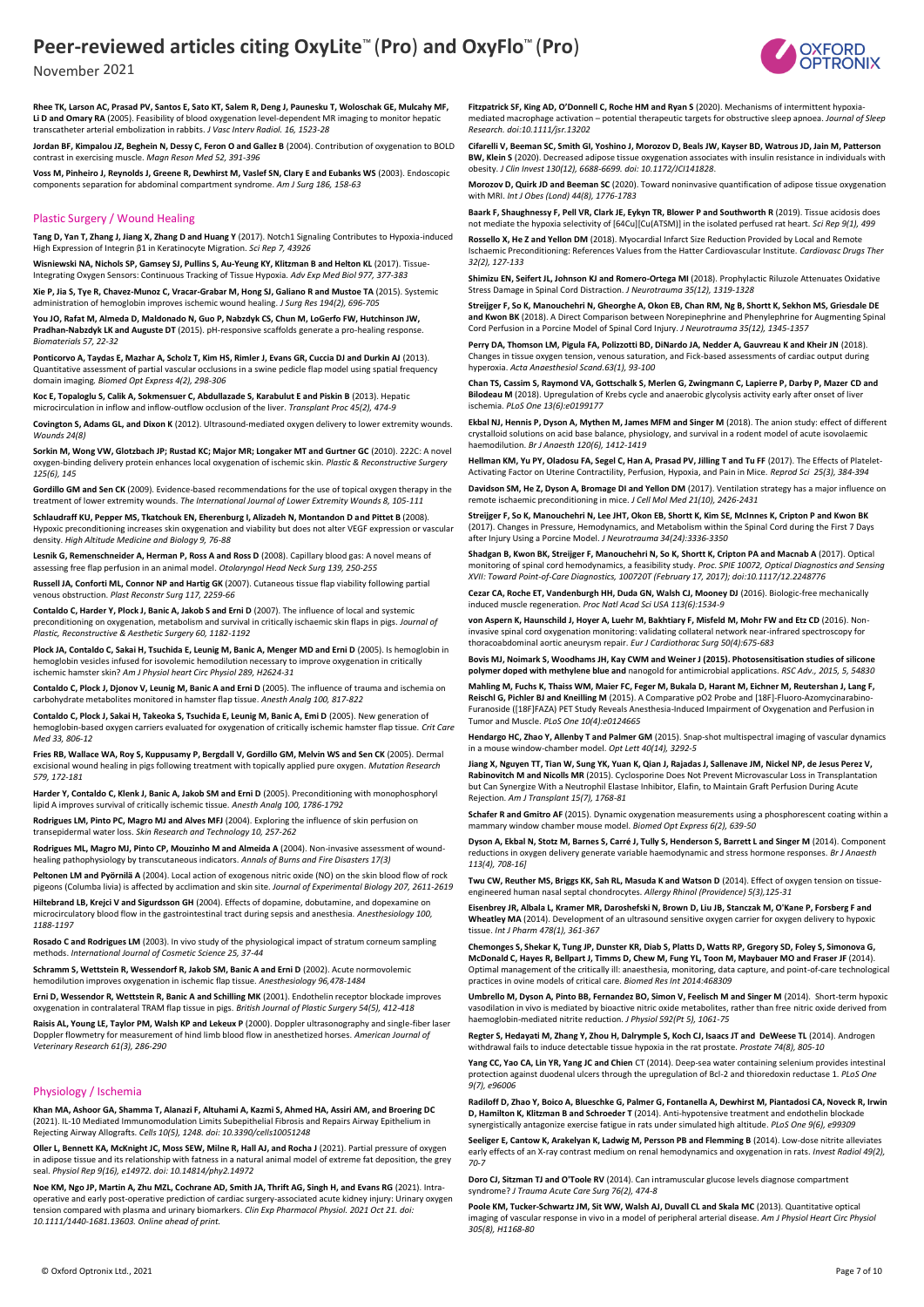November 2021

**Rhee TK, Larson AC, Prasad PV, Santos E, Sato KT, Salem R, Deng J, Paunesku T, Woloschak GE, Mulcahy MF, Li D and Omary RA** (2005). Feasibility of blood oxygenation level-dependent MR imaging to monitor hepatic transcatheter arterial embolization in rabbits. *J Vasc Interv Radiol. 16, 1523-28*

**Jordan BF, Kimpalou JZ, Beghein N, Dessy C, Feron O and Gallez B** (2004). Contribution of oxygenation to BOLD contrast in exercising muscle. *Magn Reson Med 52, 391-396*

**Voss M, Pinheiro J, Reynolds J, Greene R, Dewhirst M, Vaslef SN, Clary E and Eubanks WS** (2003). Endoscopic components separation for abdominal compartment syndrome. *Am J Surg 186, 158-63*

#### Plastic Surgery / Wound Healing

**Tang D, Yan T, Zhang J, Jiang X, Zhang D and Huang Y** (2017). Notch1 Signaling Contributes to Hypoxia-induced High Expression of Integrin β1 in Keratinocyte Migration. *Sci Rep 7, 43926*

**Wisniewski NA, Nichols SP, Gamsey SJ, Pullins S, Au-Yeung KY, Klitzman B and Helton KL** (2017). Tissue-Integrating Oxygen Sensors: Continuous Tracking of Tissue Hypoxia. *Adv Exp Med Biol 977, 377-383*

**Xie P, Jia S, Tye R, Chavez-Munoz C, Vracar-Grabar M, Hong SJ, Galiano R and Mustoe TA** (2015). Systemic administration of hemoglobin improves ischemic wound healing. *J Surg Res 194(2), 696-705*

**You JO, Rafat M, Almeda D, Maldonado N, Guo P, Nabzdyk CS, Chun M, LoGerfo FW, Hutchinson JW,**  Pradhan-Nabzdyk LK and Auguste DT (2015). pH-responsive scaffolds generate a pro-healing respon *Biomaterials 57, 22-32*

Ponticorvo A, Taydas E, Mazhar A, Scholz T, Kim HS, Rimler J, Evans GR, Cuccia DJ and Durkin AJ (2013). Quantitative assessment of partial vascular occlusions in a swine pedicle flap model using spatial frequency domain imaging*. Biomed Opt Express 4(2), 298-306*

**Koc E, Topaloglu S, Calik A, Sokmensuer C, Abdullazade S, Karabulut E and Piskin B** (2013). Hepatic microcirculation in inflow and inflow-outflow occlusion of the liver. *Transplant Proc 45(2), 474-9*

**Covington S, Adams GL, and Dixon K** (2012). Ultrasound-mediated oxygen delivery to lower extremity wounds. *Wounds 24(8)*

**Sorkin M, Wong VW, Glotzbach JP; Rustad KC; Major MR; Longaker MT and Gurtner GC** (2010). 222C: A novel oxygen-binding delivery protein enhances local oxygenation of ischemic skin. *Plastic & Reconstructive Surgery 125(6), 145*

**Gordillo GM and Sen CK** (2009). Evidence-based recommendations for the use of topical oxygen therapy in the treatment of lower extremity wounds. *The International Journal of Lower Extremity Wounds 8, 105-111*

**Schlaudraff KU, Pepper MS, Tkatchouk EN, Eherenburg I, Alizadeh N, Montandon D and Pittet B** (2008). Hypoxic preconditioning increases skin oxygenation and viability but does not alter VEGF expression or vascular density. *High Altitude Medicine and Biology 9, 76-88*

**Lesnik G, Remenschneider A, Herman P, Ross A and Ross D** (2008). Capillary blood gas: A novel means of assessing free flap perfusion in an animal model. *Otolaryngol Head Neck Surg 139, 250-255*

**Russell JA, Conforti ML, Connor NP and Hartig GK** (2007). Cutaneous tissue flap viability following partial venous obstruction. *Plast Reconstr Surg 117, 2259-66*

**Contaldo C, Harder Y, Plock J, Banic A, Jakob S and Erni D** (2007). The influence of local and systemic preconditioning on oxygenation, metabolism and survival in critically ischaemic skin flaps in pigs. *Journal of Plastic, Reconstructive & Aesthetic Surgery 60, 1182-1192*

Plock JA, Contaldo C, Sakai H, Tsuchida E, Leunig M, Banic A, Menger MD and Erni D (2005). Is hemoglobin in hemoglobin vesicles infused for isovolemic hemodilution necessary to improve oxygenation in critically ischemic hamster skin? *Am J Physiol heart Circ Physiol 289, H2624-31*

**Contaldo C, Plock J, Djonov V, Leunig M, Banic A and Erni D** (2005). The influence of trauma and ischemia on carbohydrate metabolites monitored in hamster flap tissue. *Anesth Analg 100, 817-822*

**Contaldo C, Plock J, Sakai H, Takeoka S, Tsuchida E, Leunig M, Banic A, Emi D** (2005). New generation of hemoglobin-based oxygen carriers evaluated for oxygenation of critically ischemic hamster flap tissue. *Crit Care Med 33, 806-12*

**Fries RB, Wallace WA, Roy S, Kuppusamy P, Bergdall V, Gordillo GM, Melvin WS and Sen CK** (2005). Dermal excisional wound healing in pigs following treatment with topically applied pure oxygen. *Mutation Research 579, 172-181*

**Harder Y, Contaldo C, Klenk J, Banic A, Jakob SM and Erni D** (2005). Preconditioning with monophosphoryl lipid A improves survival of critically ischemic tissue. *Anesth Analg 100, 1786-1792*

**Rodrigues LM, Pinto PC, Magro MJ and Alves MFJ** (2004). Exploring the influence of skin perfusion on transepidermal water loss. *Skin Research and Technology 10, 257-262*

**Rodrigues ML, Magro MJ, Pinto CP, Mouzinho M and Almeida A** (2004). Non-invasive assessment of woundhealing pathophysiology by transcutaneous indicators. *Annals of Burns and Fire Disasters 17(3)*

**Peltonen LM and Pyörnilä A** (2004). Local action of exogenous nitric oxide (NO) on the skin blood flow of rock pigeons (Columba livia) is affected by acclimation and skin site. *Journal of Experimental Biology 207, 2611-2619*

**Hiltebrand LB, Krejci V and Sigurdsson GH** (2004). Effects of dopamine, dobutamine, and dopexamine on microcirculatory blood flow in the gastrointestinal tract during sepsis and anesthesia. *Anesthesiology 100, 1188-1197*

**Rosado C and Rodrigues LM** (2003). In vivo study of the physiological impact of stratum corneum sampling methods. *International Journal of Cosmetic Science 25, 37-44*

**Schramm S. Wettstein R, Wessendorf R, Jakob SM, Banic A and Erni D (2002). Acute normovolemic** hemodilution improves oxygenation in ischemic flap tissue. *Anesthesiology 96,478-1484*

**Erni D, Wessendor R, Wettstein R, Banic A and Schilling MK** (2001). Endothelin receptor blockade improves oxygenation in contralateral TRAM flap tissue in pigs. *British Journal of Plastic Surgery 54(5), 412-418*

**Raisis AL, Young LE, Taylor PM, Walsh KP and Lekeux P** (2000). Doppler ultrasonography and single-fiber laser Doppler flowmetry for measurement of hind limb blood flow in anesthetized horses. *American Journal of Veterinary Research 61(3), 286-290*

#### Physiology / Ischemia

**Khan MA, Ashoor GA, Shamma T, Alanazi F, Altuhami A, Kazmi S, Ahmed HA, Assiri AM, and Broering DC**  (2021). IL-10 Mediated Immunomodulation Limits Subepithelial Fibrosis and Repairs Airway Epithelium in Rejecting Airway Allografts. *Cells 10(5), 1248. doi: 10.3390/cells10051248*

**Oller L, Bennett KA, McKnight JC, Moss SEW, Milne R, Hall AJ, and Rocha J** (2021). Partial pressure of oxygen in adipose tissue and its relationship with fatness in a natural animal model of extreme fat deposition, the grey seal. *Physiol Rep 9(16), e14972. doi: 10.14814/phy2.14972*

**Noe KM, Ngo JP, Martin A, Zhu MZL, Cochrane AD, Smith JA, Thrift AG, Singh H, and Evans RG** (2021). Intraoperative and early post-operative prediction of cardiac surgery-associated acute kidney injury: Urinary oxygen tension compared with plasma and urinary biomarkers. *Clin Exp Pharmacol Physiol. 2021 Oct 21. doi: 10.1111/1440-1681.13603. Online ahead of print.*

**Fitzpatrick SF, King AD, O'Donnell C, Roche HM and Ryan S** (2020). Mechanisms of intermittent hypoxia‐ mediated macrophage activation – potential therapeutic targets for obstructive sleep apnoea. *Journal of Sleep Research. doi:10.1111/jsr.13202*

**Cifarelli V, Beeman SC, Smith GI, Yoshino J, Morozov D, Beals JW, Kayser BD, Watrous JD, Jain M, Patterson BW, Klein S** (2020). Decreased adipose tissue oxygenation associates with insulin resistance in individuals with obesity. *J Clin Invest 130(12), 6688-6699. doi: 10.1172/JCI141828*.

**Morozov D, Quirk JD and Beeman SC** (2020). Toward noninvasive quantification of adipose tissue oxygenation with MRI. *Int J Obes (Lond) 44(8), 1776-1783*

**Baark F, Shaughnessy F, Pell VR, Clark JE, Eykyn TR, Blower P and Southworth R** (2019). Tissue acidosis does not mediate the hypoxia selectivity of [64Cu][Cu(ATSM)] in the isolated perfused rat heart. *Sci Rep 9(1), 499*

**Rossello X, He Z and Yellon DM** (2018). Myocardial Infarct Size Reduction Provided by Local and Remote Ischaemic Preconditioning: References Values from the Hatter Cardiovascular Institute. *Cardiovasc Drugs Ther 32(2), 127-133*

**Shimizu EN, Seifert JL, Johnson KJ and Romero-Ortega MI** (2018). Prophylactic Riluzole Attenuates Oxidative Stress Damage in Spinal Cord Distraction. *J Neurotrauma 35(12), 1319-1328*

**Streijger F, So K, Manouchehri N, Gheorghe A, Okon EB, Chan RM, Ng B, Shortt K, Sekhon MS, Griesdale DE and Kwon BK** (2018). A Direct Comparison between Norepinephrine and Phenylephrine for Augmenting Spinal Cord Perfusion in a Porcine Model of Spinal Cord Injury. *J Neurotrauma 35(12), 1345-1357*

**Perry DA, Thomson LM, Pigula FA, Polizzotti BD, DiNardo JA, Nedder A, Gauvreau K and Kheir JN** (2018). Changes in tissue oxygen tension, venous saturation, and Fick-based assessments of cardiac output during hyperoxia. *Acta Anaesthesiol Scand.63(1), 93-100*

**Chan TS, Cassim S, Raymond VA, Gottschalk S, Merlen G, Zwingmann C, Lapierre P, Darby P, Mazer CD and Bilodeau M** (2018). Upregulation of Krebs cycle and anaerobic glycolysis activity early after onset of liver ischemia. *PLoS One 13(6):e0199177*

**Ekbal NJ, Hennis P, Dyson A, Mythen M, James MFM and Singer M** (2018). The anion study: effect of different crystalloid solutions on acid base balance, physiology, and survival in a rodent model of acute isovolaemic haemodilution. *Br J Anaesth 120(6), 1412-1419*

**Hellman KM, Yu PY, Oladosu FA, Segel C, Han A, Prasad PV, Jilling T and Tu FF** (2017). The Effects of Platelet-Activating Factor on Uterine Contractility, Perfusion, Hypoxia, and Pain in Mice. *Reprod Sci 25(3), 384-394* 

**Davidson SM, He Z, Dyson A, Bromage DI and Yellon DM** (2017). Ventilation strategy has a major influence on remote ischaemic preconditioning in mice. *J Cell Mol Med 21(10), 2426-2431*

**Streijger F, So K, Manouchehri N, Lee JHT, Okon EB, Shortt K, Kim SE, McInnes K, Cripton P and Kwon BK**  (2017). Changes in Pressure, Hemodynamics, and Metabolism within the Spinal Cord during the First 7 Days after Injury Using a Porcine Model. *J Neurotrauma 34(24):3336-3350*

**Shadgan B, Kwon BK, Streijger F, Manouchehri N, So K, Shortt K, Cripton PA and Macnab A** (2017). Optical monitoring of spinal cord hemodynamics, a feasibility study. *Proc. SPIE 10072, Optical Diagnostics and Sensing XVII: Toward Point-of-Care Diagnostics, 100720T (February 17, 2017); doi:10.1117/12.2248776*

**Cezar CA, Roche ET, Vandenburgh HH, Duda GN, Walsh CJ, Mooney DJ** (2016). Biologic-free mechanically induced muscle regeneration. *Proc Natl Acad Sci USA 113(6):1534-9*

**von Aspern K, Haunschild J, Hoyer A, Luehr M, Bakhtiary F, Misfeld M, Mohr FW and Etz CD** (2016). Noninvasive spinal cord oxygenation monitoring: validating collateral network near-infrared spectroscopy for thoracoabdominal aortic aneurysm repair. *Eur J Cardiothorac Surg 50(4):675-683*

**Bovis MJ, Noimark S, Woodhams JH, Kay CWM and Weiner J (2015). Photosensitisation studies of silicone polymer doped with methylene blue and** nanogold for antimicrobial applications. *RSC Adv., 2015, 5, 54830*

**Mahling M, Fuchs K, Thaiss WM, Maier FC, Feger M, Bukala D, Harant M, Eichner M, Reutershan J, Lang F, Reischl G, Pichler BJ and Kneilling M** (2015). A Comparative pO2 Probe and [18F]-Fluoro-Azomycinarabino-Furanoside ([18F]FAZA) PET Study Reveals Anesthesia-Induced Impairment of Oxygenation and Perfusion in Tumor and Muscle. *PLoS One 10(4):e0124665*

**Hendargo HC, Zhao Y, Allenby T and Palmer GM** (2015). Snap-shot multispectral imaging of vascular dynamics ise window-chamber model. Opt Lett 40(14), 3292-5

**Jiang X, Nguyen TT, Tian W, Sung YK, Yuan K, Qian J, Rajadas J, Sallenave JM, Nickel NP, de Jesus Perez V, Rabinovitch M and Nicolls MR** (2015). Cyclosporine Does Not Prevent Microvascular Loss in Transplantation but Can Synergize With a Neutrophil Elastase Inhibitor, Elafin, to Maintain Graft Perfusion During Acute Rejection. *Am J Transplant 15(7), 1768-81*

**Schafer R and Gmitro AF** (2015). Dynamic oxygenation measurements using a phosphorescent coating within a mammary window chamber mouse model. *Biomed Opt Express 6(2), 639-50*

**Dyson A, Ekbal N, Stotz M, Barnes S, Carré J, Tully S, Henderson S, Barrett L and Singer M** (2014). Component reductions in oxygen delivery generate variable haemodynamic and stress hormone responses. *Br J Anaesth 113(4), 708-16]*

Twu CW, Reuther MS, Briggs KK, Sah RL, Masuda K and Watson D (2014). Effect of oxygen tension on tissueengineered human nasal septal chondrocytes*. Allergy Rhinol (Providence) 5(3),125-31* 

**Eisenbrey JR, Albala L, Kramer MR, Daroshefski N, Brown D, Liu JB, Stanczak M, O'Kane P, Forsberg F and**  Wheatley MA (2014). Development of an ultrasound sensitive oxygen carrier for oxygen delivery to hypoxic tissue. *Int J Pharm 478(1), 361-367*

**Chemonges S, Shekar K, Tung JP, Dunster KR, Diab S, Platts D, Watts RP, Gregory SD, Foley S, Simonova G, McDonald C, Hayes R, Bellpart J, Timms D, Chew M, Fung YL, Toon M, Maybauer MO and Fraser JF** (2014). Optimal management of the critically ill: anaesthesia, monitoring, data capture, and point-of-care technological practices in ovine models of critical care. *Biomed Res Int 2014:468309*

**Umbrello M, Dyson A, Pinto BB, Fernandez BO, Simon V, Feelisch M and Singer M** (2014). Short-term hypoxic vasodilation in vivo is mediated by bioactive nitric oxide metabolites, rather than free nitric oxide derived from haemoglobin-mediated nitrite reduction. *J Physiol 592(Pt 5), 1061-75*

**Regter S, Hedayati M, Zhang Y, Zhou H, Dalrymple S, Koch CJ, Isaacs JT and DeWeese TL** (2014). Androgen withdrawal fails to induce detectable tissue hypoxia in the rat prostate. *Prostate 74(8), 805-10*

**Yang CC, Yao CA, Lin YR, Yang JC and Chien** CT (2014). Deep-sea water containing selenium provides intestinal protection against duodenal ulcers through the upregulation of Bcl-2 and thioredoxin reductase 1. *PLoS One 9(7), e96006*

**Radiloff D, Zhao Y, Boico A, Blueschke G, Palmer G, Fontanella A, Dewhirst M, Piantadosi CA, Noveck R, Irwin D, Hamilton K, Klitzman B and Schroeder T** (2014). Anti-hypotensive treatment and endothelin blockade synergistically antagonize exercise fatigue in rats under simulated high altitude. *PLoS One 9(6), e99309*

**Seeliger E, Cantow K, Arakelyan K, Ladwig M, Persson PB and Flemming B** (2014). Low-dose nitrite alleviates early effects of an X-ray contrast medium on renal hemodynamics and oxygenation in rats. *Invest Radiol 49(2), 70-7*

**Doro CJ, Sitzman TJ and O'Toole RV** (2014). Can intramuscular glucose levels diagnose compartment syndrome? *J Trauma Acute Care Surg 76(2), 474-8*

**Poole KM, Tucker-Schwartz JM, Sit WW, Walsh AJ, Duvall CL and Skala MC** (2013). Quantitative optical imaging of vascular response in vivo in a model of peripheral arterial disease. *Am J Physiol Heart Circ Physiol 305(8), H1168-80*

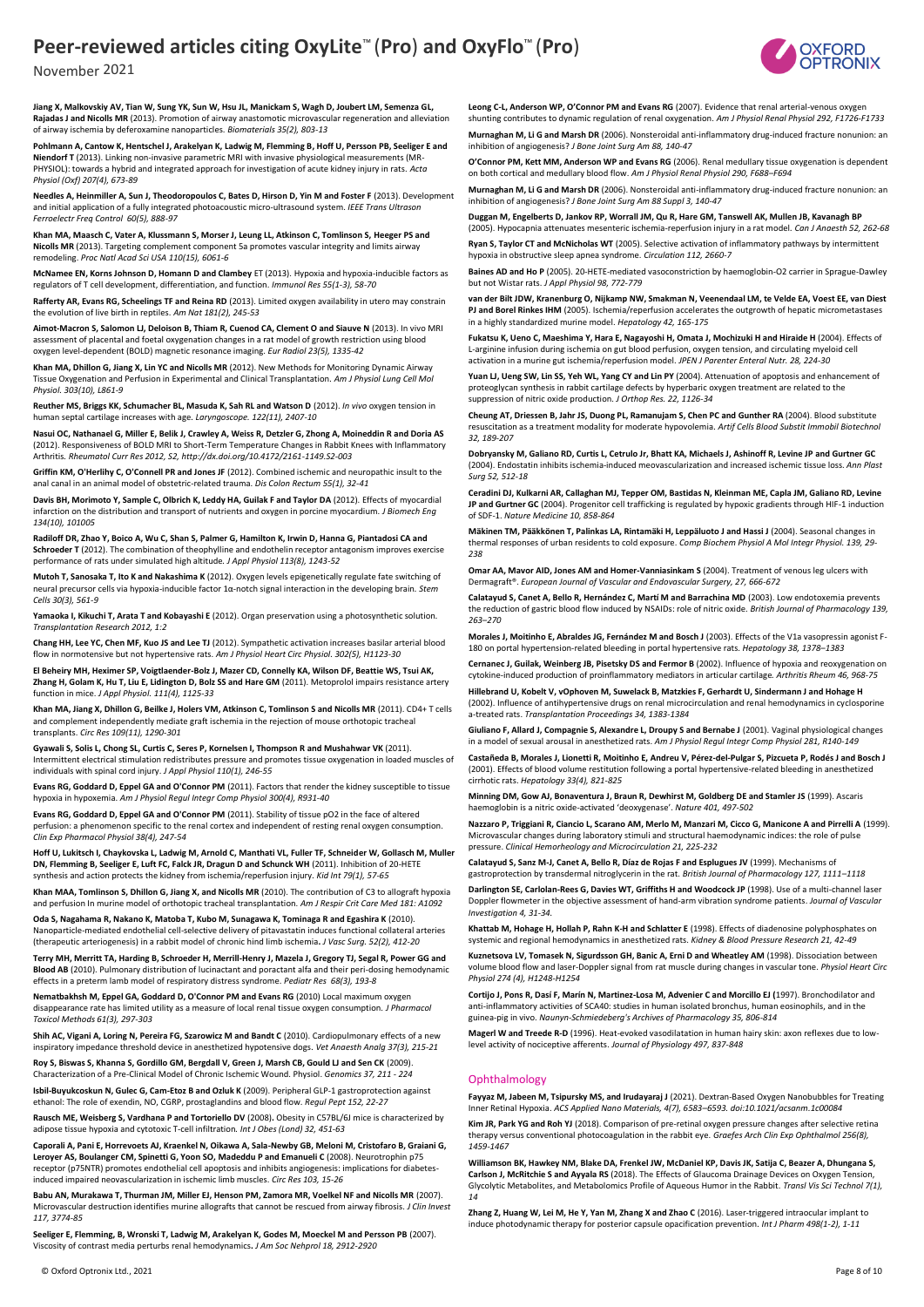

November 2021

**Jiang X, Malkovskiy AV, Tian W, Sung YK, Sun W, Hsu JL, Manickam S, Wagh D, Joubert LM, Semenza GL, Rajadas J and Nicolls MR** (2013). Promotion of airway anastomotic microvascular regeneration and alleviation of airway ischemia by deferoxamine nanoparticles. *Biomaterials 35(2), 803-13*

**Pohlmann A, Cantow K, Hentschel J, Arakelyan K, Ladwig M, Flemming B, Hoff U, Persson PB, Seeliger E and Niendorf T** (2013). Linking non-invasive parametric MRI with invasive physiological measurements (MR-PHYSIOL): towards a hybrid and integrated approach for investigation of acute kidney injury in rats. *Acta Physiol (Oxf) 207(4), 673-89*

**Needles A, Heinmiller A, Sun J, Theodoropoulos C, Bates D, Hirson D, Yin M and Foster F** (2013). Development and initial application of a fully integrated photoacoustic micro-ultrasound system. *IEEE Trans Ultrason Ferroelectr Freq Control 60(5), 888-97*

**Khan MA, Maasch C, Vater A, Klussmann S, Morser J, Leung LL, Atkinson C, Tomlinson S, Heeger PS and Nicolls MR** (2013). Targeting complement component 5a promotes vascular integrity and limits airway remodeling. *Proc Natl Acad Sci USA 110(15), 6061-6*

**McNamee EN, Korns Johnson D, Homann D and Clambey** ET (2013). Hypoxia and hypoxia-inducible factors as regulators of T cell development, differentiation, and function. *Immunol Res 55(1-3), 58-70*

**Rafferty AR, Evans RG, Scheelings TF and Reina RD** (2013). Limited oxygen availability in utero may constrain the evolution of live birth in reptiles. *Am Nat 181(2), 245-53*

**Aimot-Macron S, Salomon LJ, Deloison B, Thiam R, Cuenod CA, Clement O and Siauve N** (2013). In vivo MRI assessment of placental and foetal oxygenation changes in a rat model of growth restriction using blood oxygen level-dependent (BOLD) magnetic resonance imaging. *Eur Radiol 23(5), 1335-42*

**Khan MA, Dhillon G, Jiang X, Lin YC and Nicolls MR** (2012). New Methods for Monitoring Dynamic Airway Tissue Oxygenation and Perfusion in Experimental and Clinical Transplantation*. Am J Physiol Lung Cell Mol Physiol. 303(10), L861-9*

**Reuther MS, Briggs KK, Schumacher BL, Masuda K, Sah RL and Watson D** (2012). *In vivo* oxygen tension in human septal cartilage increases with age*. Laryngoscope. 122(11), 2407-10* 

**Nasui OC, Nathanael G, Miller E, Belik J, Crawley A, Weiss R, Detzler G, Zhong A, Moineddin R and Doria AS**  (2012). Responsiveness of BOLD MRI to Short-Term Temperature Changes in Rabbit Knees with Inflammatory Arthritis*. Rheumatol Curr Res 2012, S2, http://dx.doi.org/10.4172/2161-1149.S2-003*

**Griffin KM, O'Herlihy C, O'Connell PR and Jones JF** (2012). Combined ischemic and neuropathic insult to the anal canal in an animal model of obstetric-related trauma. *Dis Colon Rectum 55(1), 32-41*

**Davis BH, Morimoto Y, Sample C, Olbrich K, Leddy HA, Guilak F and Taylor DA** (2012). Effects of myocardial infarction on the distribution and transport of nutrients and oxygen in porcine myocardium. *J Biomech Eng 134(10), 101005*

**Radiloff DR, Zhao Y, Boico A, Wu C, Shan S, Palmer G, Hamilton K, Irwin D, Hanna G, Piantadosi CA and Schroeder T** (2012). The combination of theophylline and endothelin receptor antagonism improves exercise performance of rats under simulated high altitude*. J Appl Physiol 113(8), 1243-52*

**Mutoh T, Sanosaka T, Ito K and Nakashima K** (2012). Oxygen levels epigenetically regulate fate switching of<br>neural precursor cells via hypoxia-inducible factor 1α-notch signal interaction in the developing brain. *Stem Cells 30(3), 561-9*

**Yamaoka I, Kikuchi T, Arata T and Kobayashi E** (2012). Organ preservation using a photosynthetic solution*. Transplantation Research 2012, 1:2*

**Chang HH, Lee YC, Chen MF, Kuo JS and Lee TJ** (2012). Sympathetic activation increases basilar arterial blood flow in normotensive but not hypertensive rats. *Am J Physiol Heart Circ Physiol. 302(5), H1123-30*

**El Beheiry MH, Heximer SP, Voigtlaender-Bolz J, Mazer CD, Connelly KA, Wilson DF, Beattie WS, Tsui AK, Zhang H, Golam K, Hu T, Liu E, Lidington D, Bolz SS and Hare GM** (2011). Metoprolol impairs resistance artery function in mice. *J Appl Physiol. 111(4), 1125-33*

**Khan MA, Jiang X, Dhillon G, Beilke J, Holers VM, Atkinson C, Tomlinson S and Nicolls MR** (2011). CD4+ T cells and complement independently mediate graft ischemia in the rejection of mouse orthotopic tracheal transplants. *Circ Res 109(11), 1290-301*

**Gyawali S, Solis L, Chong SL, Curtis C, Seres P, Kornelsen I, Thompson R and Mushahwar VK** (2011). Intermittent electrical stimulation redistributes pressure and promotes tissue oxygenation in loaded muscles of individuals with spinal cord injury. *J Appl Physiol 110(1), 246-55*

**Evans RG, Goddard D, Eppel GA and O'Connor PM** (2011). Factors that render the kidney susceptible to tissue hypoxia in hypoxemia. *Am J Physiol Regul Integr Comp Physiol 300(4), R931-40*

**Evans RG, Goddard D, Eppel GA and O'Connor PM** (2011). Stability of tissue pO2 in the face of altered perfusion: a phenomenon specific to the renal cortex and independent of resting renal oxygen consumption. *Clin Exp Pharmacol Physiol 38(4), 247-54*

**Hoff U, Lukitsch I, Chaykovska L, Ladwig M, Arnold C, Manthati VL, Fuller TF, Schneider W, Gollasch M, Muller DN, Flemming B, Seeliger E, Luft FC, Falck JR, Dragun D and Schunck WH** (2011). Inhibition of 20-HETE synthesis and action protects the kidney from ischemia/reperfusion injury*. Kid Int 79(1), 57-65*

**Khan MAA, Tomlinson S, Dhillon G, Jiang X, and Nicolls MR** (2010). The contribution of C3 to allograft hypoxia and perfusion In murine model of orthotopic tracheal transplantation. *Am J Respir Crit Care Med 181: A1092*

**Oda S, Nagahama R, Nakano K, Matoba T, Kubo M, Sunagawa K, Tominaga R and Egashira K** (2010). Nanoparticle-mediated endothelial cell-selective delivery of pitavastatin induces functional collateral arteries (therapeutic arteriogenesis) in a rabbit model of chronic hind limb ischemia**.** *J Vasc Surg. 52(2), 412-20* 

**Terry MH, Merritt TA, Harding B, Schroeder H, Merrill-Henry J, Mazela J, Gregory TJ, Segal R, Power GG and Blood AB** (2010). Pulmonary distribution of lucinactant and poractant alfa and their peri-dosing hemodynamic effects in a preterm lamb model of respiratory distress syndrome. *Pediatr Res 68(3), 193-8* 

**Nematbakhsh M, Eppel GA, Goddard D, O'Connor PM and Evans RG** (2010) Local maximum oxygen disappearance rate has limited utility as a measure of local renal tissue oxygen consumption. *J Pharmacol Toxicol Methods 61(3), 297-303*

**Shih AC, Vigani A, Loring N, Pereira FG, Szarowicz M and Bandt C** (2010). Cardiopulmonary effects of a new inspiratory impedance threshold device in anesthetized hypotensive dogs*. Vet Anaesth Analg 37(3), 215-21*

**Roy S, Biswas S, Khanna S, Gordillo GM, Bergdall V, Green J, Marsh CB, Gould LJ and Sen CK** (2009). Characterization of a Pre-Clinical Model of Chronic Ischemic Wound. Physiol. *Genomics 37, 211 - 224*

**Isbil-Buyukcoskun N, Gulec G, Cam-Etoz B and Ozluk K** (2009). Peripheral GLP-1 gastroprotection against ethanol: The role of exendin, NO, CGRP, prostaglandins and blood flow. *Regul Pept 152, 22-27*

**Rausch ME, Weisberg S, Vardhana P and Tortoriello DV** (2008)**.** Obesity in C57BL/6J mice is characterized by adipose tissue hypoxia and cytotoxic T-cell infiltration*. Int J Obes (Lond) 32, 451-63* 

**Caporali A, Pani E, Horrevoets AJ, Kraenkel N, Oikawa A, Sala-Newby GB, Meloni M, Cristofaro B, Graiani G, Leroyer AS, Boulanger CM, Spinetti G, Yoon SO, Madeddu P and Emanueli C (2008). Neurotrophin p75<br>receptor (p75NTR) promotes endothelial cell apoptosis and inhibits angiogenesis: implications for diabetes**induced impaired neovascularization in ischemic limb muscles. *Circ Res 103, 15-26*

**Babu AN, Murakawa T, Thurman JM, Miller EJ, Henson PM, Zamora MR, Voelkel NF and Nicolls MR** (2007). Microvascular destruction identifies murine allografts that cannot be rescued from airway fibrosis. *J Clin Invest 117, 3774-85*

**Seeliger E, Flemming, B, Wronski T, Ladwig M, Arakelyan K, Godes M, Moeckel M and Persson PB** (2007). Viscosity of contrast media perturbs renal hemodynamics**.** *J Am Soc Nehprol 18, 2912-2920*

**Leong C-L, Anderson WP, O'Connor PM and Evans RG** (2007). Evidence that renal arterial-venous oxygen shunting contributes to dynamic regulation of renal oxygenation. *Am J Physiol Renal Physiol 292, F1726-F1733* **Murnaghan M, Li G and Marsh DR** (2006). Nonsteroidal anti-inflammatory drug-induced fracture nonunion: an inhibition of angiogenesis? *J Bone Joint Surg Am 88, 140-47*

**O'Connor PM, Kett MM, Anderson WP and Evans RG** (2006). Renal medullary tissue oxygenation is dependent on both cortical and medullary blood flow. *Am J Physiol Renal Physiol 290, F688–F694*

**Murnaghan M, Li G and Marsh DR** (2006). Nonsteroidal anti-inflammatory drug-induced fracture nonunion: an inhibition of angiogenesis? *J Bone Joint Surg Am 88 Suppl 3, 140-47*

**Duggan M, Engelberts D, Jankov RP, Worrall JM, Qu R, Hare GM, Tanswell AK, Mullen JB, Kavanagh BP** (2005). Hypocapnia attenuates mesenteric ischemia-reperfusion injury in a rat model*. Can J Anaesth 52, 262-68*

**Ryan S, Taylor CT and McNicholas WT** (2005). Selective activation of inflammatory pathways by intermittent hypoxia in obstructive sleep apnea syndrome. *Circulation 112, 2660-7*

**Baines AD and Ho P** (2005). 20-HETE-mediated vasoconstriction by haemoglobin-O2 carrier in Sprague-Dawley but not Wistar rats. *J Appl Physiol 98, 772-779*

**van der Bilt JDW, Kranenburg O, Nijkamp NW, Smakman N, Veenendaal LM, te Velde EA, Voest EE, van Diest PJ and Borel Rinkes IHM** (2005). Ischemia/reperfusion accelerates the outgrowth of hepatic micrometastases in a highly standardized murine model. *Hepatology 42, 165-175*

**Fukatsu K, Ueno C, Maeshima Y, Hara E, Nagayoshi H, Omata J, Mochizuki H and Hiraide H** (2004). Effects of L-arginine infusion during ischemia on gut blood perfusion, oxygen tension, and circulating myeloid cell activation in a murine gut ischemia/reperfusion model. *JPEN J Parenter Enteral Nutr. 28, 224-30*

**Yuan LJ, Ueng SW, Lin SS, Yeh WL, Yang CY and Lin PY** (2004). Attenuation of apoptosis and enhancement of proteoglycan synthesis in rabbit cartilage defects by hyperbaric oxygen treatment are related to the suppression of nitric oxide production. *J Orthop Res. 22, 1126-34*

**Cheung AT, Driessen B, Jahr JS, Duong PL, Ramanujam S, Chen PC and Gunther RA** (2004). Blood substitute resuscitation as a treatment modality for moderate hypovolemia*. Artif Cells Blood Substit Immobil Biotechnol 32, 189-207*

**Dobryansky M, Galiano RD, Curtis L, Cetrulo Jr, Bhatt KA, Michaels J, Ashinoff R, Levine JP and Gurtner GC**  (2004). Endostatin inhibits ischemia-induced meovascularization and increased ischemic tissue loss. *Ann Plast Surg 52, 512-18*

**Ceradini DJ, Kulkarni AR, Callaghan MJ, Tepper OM, Bastidas N, Kleinman ME, Capla JM, Galiano RD, Levine JP and Gurtner GC** (2004). Progenitor cell trafficking is regulated by hypoxic gradients through HIF-1 induction of SDF-1. *Nature Medicine 10, 858-864*

**Mäkinen TM, Pääkkönen T, Palinkas LA, Rintamäki H, Leppäluoto J and Hassi J** (2004). Seasonal changes in thermal responses of urban residents to cold exposure. *Comp Biochem Physiol A Mol Integr Physiol. 139, 29- 238*

**Omar AA, Mavor AID, Jones AM and Homer-Vanniasinkam S** (2004). Treatment of venous leg ulcers with Dermagraft®. *European Journal of Vascular and Endovascular Surgery, 27, 666-672* 

**Calatayud S, Canet A, Bello R, Hernández C, Martí M and Barrachina MD** (2003). Low endotoxemia prevents the reduction of gastric blood flow induced by NSAIDs: role of nitric oxide. *British Journal of Pharmacology 139, 263–270*

**Morales J, Moitinho E, Abraldes JG, Fernández M and Bosch J** (2003). Effects of the V1a vasopressin agonist F-180 on portal hypertension-related bleeding in portal hypertensive rats. *Hepatology 38, 1378–1383*

**Cernanec J, Guilak, Weinberg JB, Pisetsky DS and Fermor B** (2002). Influence of hypoxia and reoxygenation on cytokine-induced production of proinflammatory mediators in articular cartilage*. Arthritis Rheum 46, 968-75*

**Hillebrand U, Kobelt V, vOphoven M, Suwelack B, Matzkies F, Gerhardt U, Sindermann J and Hohage H**  (2002). Influence of antihypertensive drugs on renal microcirculation and renal hemodynamics in cyclosporine a-treated rats. *Transplantation Proceedings 34, 1383-1384*

**Giuliano F, Allard J, Compagnie S, Alexandre L, Droupy S and Bernabe J** (2001). Vaginal physiological changes in a model of sexual arousal in anesthetized rats. *Am J Physiol Regul Integr Comp Physiol 281, R140-149*

**Castañeda B, Morales J, Lionetti R, Moitinho E, Andreu V, Pérez-del-Pulgar S, Pizcueta P, Rodés J and Bosch J**  (2001). Effects of blood volume restitution following a portal hypertensive-related bleeding in anesthetized cirrhotic rats. *Hepatology 33(4), 821-825*

**Minning DM, Gow AJ, Bonaventura J, Braun R, Dewhirst M, Goldberg DE and Stamler JS** (1999). Ascaris haemoglobin is a nitric oxide-activated 'deoxygenase'. *Nature 401, 497-502*

**Nazzaro P, Triggiani R, Ciancio L, Scarano AM, Merlo M, Manzari M, Cicco G, Manicone A and Pirrelli A** (1999). Microvascular changes during laboratory stimuli and structural haemodynamic indices: the role of pulse pressure. *Clinical Hemorheology and Microcirculation 21, 225-232*

**Calatayud S, Sanz M-J, Canet A, Bello R, Díaz de Rojas F and Esplugues JV** (1999). Mechanisms of gastroprotection by transdermal nitroglycerin in the rat. *British Journal of Pharmacology 127, 1111–1118*

**Darlington SE, Carlolan-Rees G, Davies WT, Griffiths H and Woodcock JP** (1998). Use of a multi-channel laser Doppler flowmeter in the objective assessment of hand-arm vibration syndrome patients. *Journal of Vascular Investigation 4, 31-34.*

**Khattab M, Hohage H, Hollah P, Rahn K-H and Schlatter E** (1998). Effects of diadenosine polyphosphates on systemic and regional hemodynamics in anesthetized rats. *Kidney & Blood Pressure Research 21, 42-49*

**Kuznetsova LV, Tomasek N, Sigurdsson GH, Banic A, Erni D and Wheatley AM** (1998). Dissociation between volume blood flow and laser-Doppler signal from rat muscle during changes in vascular tone. *Physiol Heart Circ Physiol 274 (4), H1248-H1254*

**Cortijo J, Pons R, Dasí F, Marín N, Martinez-Losa M, Advenier C and Morcillo EJ (**1997). Bronchodilator and anti-inflammatory activities of SCA40: studies in human isolated bronchus, human eosinophils, and in the guinea-pig in vivo. *Naunyn-Schmiedeberg's Archives of Pharmacology 35, 806-814* 

**Magerl W and Treede R-D** (1996). Heat-evoked vasodilatation in human hairy skin: axon reflexes due to lowlevel activity of nociceptive afferents. *Journal of Physiology 497, 837-848*

#### **Ophthalmology**

**Fayyaz M, Jabeen M, Tsipursky MS, and Irudayaraj J** (2021). Dextran-Based Oxygen Nanobubbles for Treating Inner Retinal Hypoxia. *ACS Applied Nano Materials, 4(7), 6583–6593. doi:10.1021/acsanm.1c00084*

**Kim JR, Park YG and Roh YJ** (2018). Comparison of pre-retinal oxygen pressure changes after selective retina therapy versus conventional photocoagulation in the rabbit eye. *Graefes Arch Clin Exp Ophthalmol 256(8), 1459-1467*

**Williamson BK, Hawkey NM, Blake DA, Frenkel JW, McDaniel KP, Davis JK, Satija C, Beazer A, Dhungana S, Carlson J, McRitchie S and Ayyala RS** (2018). The Effects of Glaucoma Drainage Devices on Oxygen Tension, Glycolytic Metabolites, and Metabolomics Profile of Aqueous Humor in the Rabbit. *Transl Vis Sci Technol 7(1), 14*

**Zhang Z, Huang W, Lei M, He Y, Yan M, Zhang X and Zhao C** (2016). Laser-triggered intraocular implant to induce photodynamic therapy for posterior capsule opacification prevention*. Int J Pharm 498(1-2), 1-11*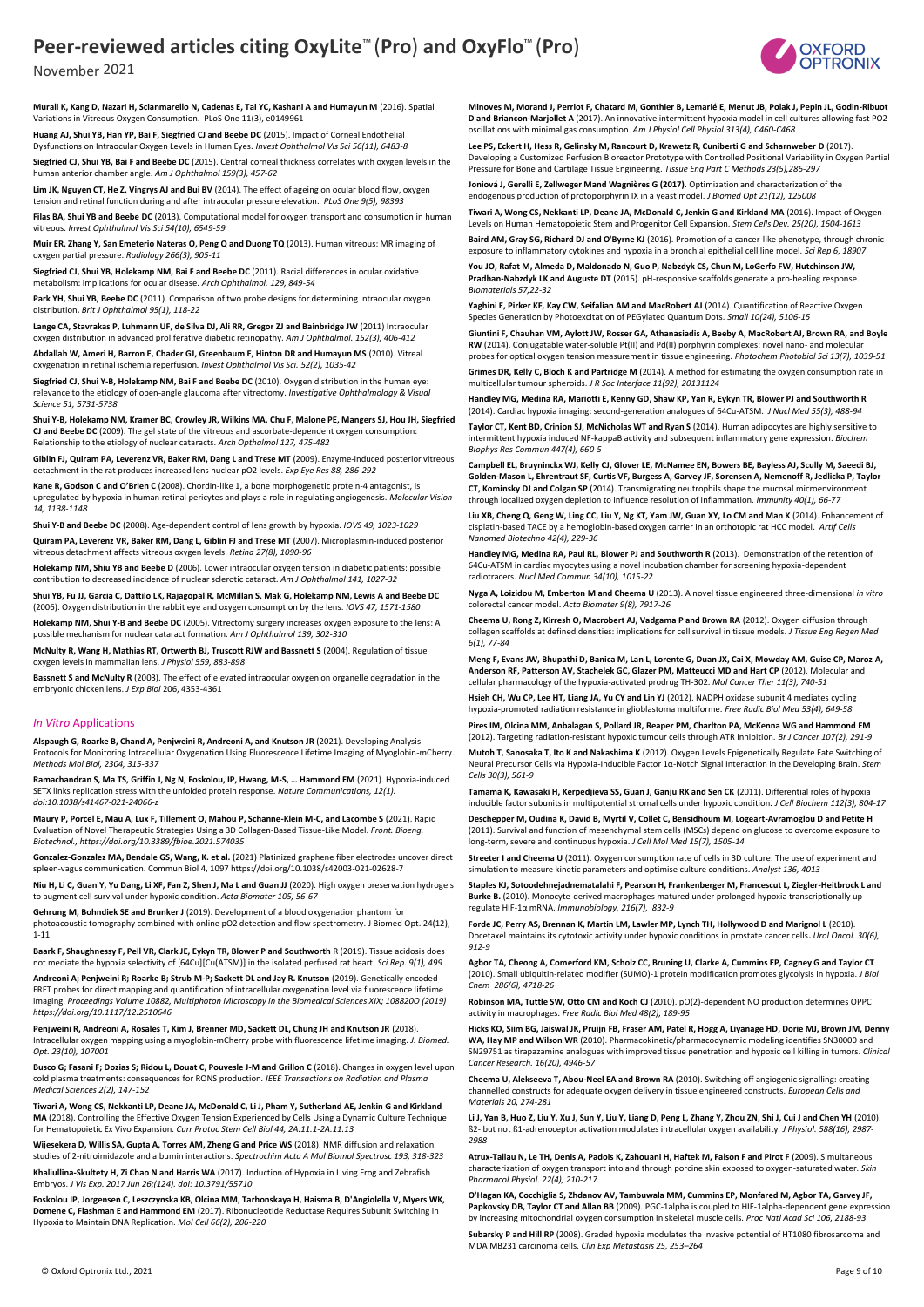

November 2021

**Murali K, Kang D, Nazari H, Scianmarello N, Cadenas E, Tai YC, Kashani A and Humayun M** (2016). Spatial Variations in Vitreous Oxygen Consumption. PLoS One 11(3), e0149961

**Huang AJ, Shui YB, Han YP, Bai F, Siegfried CJ and Beebe DC** (2015). Impact of Corneal Endothelial Dysfunctions on Intraocular Oxygen Levels in Human Eyes. *Invest Ophthalmol Vis Sci 56(11), 6483-8*

**Siegfried CJ, Shui YB, Bai F and Beebe DC** (2015). Central corneal thickness correlates with oxygen levels in the nan anterior chamber angle. Am J Ophthalmol 159(3), 457-62

**Lim JK, Nguyen CT, He Z, Vingrys AJ and Bui BV** (2014). The effect of ageing on ocular blood flow, oxygen tension and retinal function during and after intraocular pressure elevation. *PLoS One 9(5), 98393*

**Filas BA, Shui YB and Beebe DC** (2013). Computational model for oxygen transport and consumption in human vitreous. *Invest Ophthalmol Vis Sci 54(10), 6549-59*

**Muir ER, Zhang Y, San Emeterio Nateras O, Peng Q and Duong TQ** (2013). Human vitreous: MR imaging of oxygen partial pressure. *Radiology 266(3), 905-11*

**Siegfried CJ, Shui YB, Holekamp NM, Bai F and Beebe DC** (2011). Racial differences in ocular oxidative metabolism: implications for ocular disease. *Arch Ophthalmol. 129, 849-54*

**Park YH, Shui YB, Beebe DC** (2011). Comparison of two probe designs for determining intraocular oxygen distribution**.** *Brit J Ophthalmol 95(1), 118-22*

**Lange CA, Stavrakas P, Luhmann UF, de Silva DJ, Ali RR, Gregor ZJ and Bainbridge JW** (2011) Intraocular oxygen distribution in advanced proliferative diabetic retinopathy. *Am J Ophthalmol. 152(3), 406-412*

**Abdallah W, Ameri H, Barron E, Chader GJ, Greenbaum E, Hinton DR and Humayun MS** (2010). Vitreal oxygenation in retinal ischemia reperfusion*. Invest Ophthalmol Vis Sci. 52(2), 1035-42*

**Siegfried CJ, Shui Y-B, Holekamp NM, Bai F and Beebe DC** (2010). Oxygen distribution in the human eye: relevance to the etiology of open-angle glaucoma after vitrectomy. *Investigative Ophthalmology & Visual Science 51, 5731-5738*

**Shui Y-B, Holekamp NM, Kramer BC, Crowley JR, Wilkins MA, Chu F, Malone PE, Mangers SJ, Hou JH, Siegfried CJ and Beebe DC** (2009). The gel state of the vitreous and ascorbate-dependent oxygen consumption: Relationship to the etiology of nuclear cataracts. *Arch Opthalmol 127, 475-482*

**Giblin FJ, Quiram PA, Leverenz VR, Baker RM, Dang L and Trese MT** (2009). Enzyme-induced posterior vitreous detachment in the rat produces increased lens nuclear pO2 levels. *Exp Eye Res 88, 286-292*

**Kane R, Godson C and O'Brien C** (2008). Chordin-like 1, a bone morphogenetic protein-4 antagonist, is upregulated by hypoxia in human retinal pericytes and plays a role in regulating angiogenesis. *Molecular Vision 14, 1138-1148*

**Shui Y-B and Beebe DC** (2008). Age-dependent control of lens growth by hypoxia. *IOVS 49, 1023-1029*

**Quiram PA, Leverenz VR, Baker RM, Dang L, Giblin FJ and Trese MT** (2007). Microplasmin-induced posterior vitreous detachment affects vitreous oxygen levels. *Retina 27(8), 1090-96*

**Holekamp NM, Shiu YB and Beebe D** (2006). Lower intraocular oxygen tension in diabetic patients: possible contribution to decreased incidence of nuclear sclerotic cataract*. Am J Ophthalmol 141, 1027-32*

**Shui YB, Fu JJ, Garcia C, Dattilo LK, Rajagopal R, McMillan S, Mak G, Holekamp NM, Lewis A and Beebe DC** (2006). Oxygen distribution in the rabbit eye and oxygen consumption by the lens. *IOVS 47, 1571-1580*

**Holekamp NM, Shui Y-B and Beebe DC** (2005). Vitrectomy surgery increases oxygen exposure to the lens: A possible mechanism for nuclear cataract formation. *Am J Ophthalmol 139, 302-310*

**McNulty R, Wang H, Mathias RT, Ortwerth BJ, Truscott RJW and Bassnett S** (2004). Regulation of tissue vels in mammalian lens. *J Physiol 559, 883-898* 

**Bassnett S and McNulty R** (2003). The effect of elevated intraocular oxygen on organelle degradation in the embryonic chicken lens. *J Exp Biol* 206, 4353-4361

#### *In Vitro* Applications

**Alspaugh G, Roarke B, Chand A, Penjweini R, Andreoni A, and Knutson JR** (2021). Developing Analysis Protocols for Monitoring Intracellular Oxygenation Using Fluorescence Lifetime Imaging of Myoglobin-mCherry. *Methods Mol Biol, 2304, 315-337*

**Ramachandran S, Ma TS, Griffin J, Ng N, Foskolou, IP, Hwang, M-S, … Hammond EM** (2021). Hypoxia-induced SETX links replication stress with the unfolded protein response. *Nature Communications, 12(1). doi:10.1038/s41467-021-24066-z*

**Maury P, Porcel E, Mau A, Lux F, Tillement O, Mahou P, Schanne-Klein M-C, and Lacombe S** (2021). Rapid Evaluation of Novel Therapeutic Strategies Using a 3D Collagen-Based Tissue-Like Model. *Front. Bioeng. Biotechnol., https://doi.org/10.3389/fbioe.2021.574035*

**Gonzalez-Gonzalez MA, Bendale GS, Wang, K. et al.** (2021) Platinized graphene fiber electrodes uncover direct spleen-vagus communication. Commun Biol 4, 1097 https://doi.org/10.1038/s42003-021-02628-7

**Niu H, Li C, Guan Y, Yu Dang, Li XF, Fan Z, Shen J, Ma L and Guan JJ** (2020). High oxygen preservation hydrogels to augment cell survival under hypoxic condition. *Acta Biomater 105, 56-67*

**Gehrung M, Bohndiek SE and Brunker J** (2019). Development of a blood oxygenation phantom for photoacoustic tomography combined with online pO2 detection and flow spectrometry. J Biomed Opt. 24(12), 1-11

**Baark F, Shaughnessy F, Pell VR, Clark JE, Eykyn TR, Blower P and Southworth** R (2019). Tissue acidosis does not mediate the hypoxia selectivity of [64Cu][Cu(ATSM)] in the isolated perfused rat heart. *Sci Rep. 9(1), 499*

**Andreoni A; Penjweini R; Roarke B; Strub M-P; Sackett DL and Jay R. Knutson** (2019). Genetically encoded FRET probes for direct mapping and quantification of intracellular oxygenation level via fluorescence lifetime imaging. *Proceedings Volume 10882, Multiphoton Microscopy in the Biomedical Sciences XIX; 108820O (2019) https://doi.org/10.1117/12.2510646*

**Penjweini R, Andreoni A, Rosales T, Kim J, Brenner MD, Sackett DL, Chung JH and Knutson JR** (2018). Intracellular oxygen mapping using a myoglobin-mCherry probe with fluorescence lifetime imaging. *J. Biomed. Opt. 23(10), 107001*

**Busco G; Fasani F; Dozias S; Ridou L, Douat C, Pouvesle J-M and Grillon C** (2018). Changes in oxygen level upon cold plasma treatments: consequences for RONS production*. IEEE Transactions on Radiation and Plasma Medical Sciences 2(2), 147-152*

**Tiwari A, Wong CS, Nekkanti LP, Deane JA, McDonald C, Li J, Pham Y, Sutherland AE, Jenkin G and Kirkland MA** (2018). Controlling the Effective Oxygen Tension Experienced by Cells Using a Dynamic Culture Technique for Hematopoietic Ex Vivo Expansion. *Curr Protoc Stem Cell Biol 44, 2A.11.1-2A.11.13*

**Wijesekera D, Willis SA, Gupta A, Torres AM, Zheng G and Price WS** (2018). NMR diffusion and relaxation studies of 2-nitroimidazole and albumin interactions. *Spectrochim Acta A Mol Biomol Spectrosc 193, 318-323*

**Khaliullina-Skultety H, Zi Chao N and Harris WA** (2017). Induction of Hypoxia in Living Frog and Zebrafish Embryos. *J Vis Exp. 2017 Jun 26;(124). doi: 10.3791/55710*

**Foskolou IP, Jorgensen C, Leszczynska KB, Olcina MM, Tarhonskaya H, Haisma B, D'Angiolella V, Myers WK, Domene C, Flashman E and Hammond EM** (2017). Ribonucleotide Reductase Requires Subunit Switching in Hypoxia to Maintain DNA Replication. *Mol Cell 66(2), 206-220* 

**Minoves M, Morand J, Perriot F, Chatard M, Gonthier B, Lemarié E, Menut JB, Polak J, Pepin JL, Godin-Ribuot D and Briancon-Marjollet A** (2017). An innovative intermittent hypoxia model in cell cultures allowing fast PO2 oscillations with minimal gas consumption. *Am J Physiol Cell Physiol 313(4), C460-C468*

**Lee PS, Eckert H, Hess R, Gelinsky M, Rancourt D, Krawetz R, Cuniberti G and Scharnweber D** (2017). Developing a Customized Perfusion Bioreactor Prototype with Controlled Positional Variability in Oxygen Partial Pressure for Bone and Cartilage Tissue Engineering. *Tissue Eng Part C Methods 23(5),286-297*

**Joniová J, Gerelli E, Zellweger Mand Wagnières G (2017).** Optimization and characterization of the endogenous production of protoporphyrin IX in a yeast model. *J Biomed Opt 21(12), 125008*

**Tiwari A, Wong CS, Nekkanti LP, Deane JA, McDonald C, Jenkin G and Kirkland MA** (2016). Impact of Oxygen Levels on Human Hematopoietic Stem and Progenitor Cell Expansion. *Stem Cells Dev. 25(20), 1604-1613*

**Baird AM, Gray SG, Richard DJ and O'Byrne KJ** (2016). Promotion of a cancer-like phenotype, through chronic exposure to inflammatory cytokines and hypoxia in a bronchial epithelial cell line model. *Sci Rep 6, 18907*

**You JO, Rafat M, Almeda D, Maldonado N, Guo P, Nabzdyk CS, Chun M, LoGerfo FW, Hutchinson JW, Pradhan-Nabzdyk LK and Auguste DT** (2015). pH-responsive scaffolds generate a pro-healing response. *Biomaterials 57,22-32*

**Yaghini E, Pirker KF, Kay CW, Seifalian AM and MacRobert AJ** (2014). Quantification of Reactive Oxygen Species Generation by Photoexcitation of PEGylated Quantum Dots. *Small 10(24), 5106-15*

**Giuntini F, Chauhan VM, Aylott JW, Rosser GA, Athanasiadis A, Beeby A, MacRobert AJ, Brown RA, and Boyle RW** (2014). Conjugatable water-soluble Pt(II) and Pd(II) porphyrin complexes: novel nano- and molecular

probes for optical oxygen tension measurement in tissue engineering. *Photochem Photobiol Sci 13(7), 1039-51* **Grimes DR, Kelly C, Bloch K and Partridge M** (2014). A method for estimating the oxygen consumption rate in multicellular tumour spheroids. *J R Soc Interface 11(92), 20131124*

**Handley MG, Medina RA, Mariotti E, Kenny GD, Shaw KP, Yan R, Eykyn TR, Blower PJ and Southworth R**  (2014). Cardiac hypoxia imaging: second-generation analogues of 64Cu-ATSM. *J Nucl Med 55(3), 488-94*

**Taylor CT, Kent BD, Crinion SJ, McNicholas WT and Ryan S** (2014). Human adipocytes are highly sensitive to intermittent hypoxia induced NF-kappaB activity and subsequent inflammatory gene expression. *Biochem Biophys Res Commun 447(4), 660-5*

Campbell EL, Bruyninckx WJ, Kelly CJ, Glover LE, McNamee EN, Bowers BE, Bayless AJ, Scully M, Sae **Golden-Mason L, Ehrentraut SF, Curtis VF, Burgess A, Garvey JF, Sorensen A, Nemenoff R, Jedlicka P, Taylor CT, Kominsky DJ and Colgan SP** (2014). Transmigrating neutrophils shape the mucosal microenvironment through localized oxygen depletion to influence resolution of inflammation. *Immunity 40(1), 66-77*

**Liu XB, Cheng Q, Geng W, Ling CC, Liu Y, Ng KT, Yam JW, Guan XY, Lo CM and Man K** (2014). Enhancement of cisplatin-based TACE by a hemoglobin-based oxygen carrier in an orthotopic rat HCC model. *Artif Cells Nanomed Biotechno 42(4), 229-36*

**Handley MG, Medina RA, Paul RL, Blower PJ and Southworth R** (2013). Demonstration of the retention of 64Cu-ATSM in cardiac myocytes using a novel incubation chamber for screening hypoxia-dependent radiotracers. *Nucl Med Commun 34(10), 1015-22*

**Nyga A, Loizidou M, Emberton M and Cheema U** (2013). A novel tissue engineered three-dimensional *in vitro* colorectal cancer model. *Acta Biomater 9(8), 7917-26*

**Cheema U, Rong Z, Kirresh O, Macrobert AJ, Vadgama P and Brown RA** (2012). Oxygen diffusion through collagen scaffolds at defined densities: implications for cell survival in tissue models. *J Tissue Eng Regen Med 6(1), 77-84*

**Meng F, Evans JW, Bhupathi D, Banica M, Lan L, Lorente G, Duan JX, Cai X, Mowday AM, Guise CP, Maroz A, Anderson RF, Patterson AV, Stachelek GC, Glazer PM, Matteucci MD and Hart CP** (2012). Molecular and cellular pharmacology of the hypoxia-activated prodrug TH-302. *Mol Cancer Ther 11(3), 740-51*

**Hsieh CH, Wu CP, Lee HT, Liang JA, Yu CY and Lin YJ** (2012). NADPH oxidase subunit 4 mediates cycling hypoxia-promoted radiation resistance in glioblastoma multiforme. *Free Radic Biol Med 53(4), 649-58*

**Pires IM, Olcina MM, Anbalagan S, Pollard JR, Reaper PM, Charlton PA, McKenna WG and Hammond EM**  (2012). Targeting radiation-resistant hypoxic tumour cells through ATR inhibition. *Br J Cancer 107(2), 291-9*

**Mutoh T, Sanosaka T, Ito K and Nakashima K** (2012). Oxygen Levels Epigenetically Regulate Fate Switching of Neural Precursor Cells via Hypoxia-Inducible Factor 1α-Notch Signal Interaction in the Developing Brain. *Stem Cells 30(3), 561-9*

**Tamama K, Kawasaki H, Kerpedjieva SS, Guan J, Ganju RK and Sen CK** (2011). Differential roles of hypoxia inducible factor subunits in multipotential stromal cells under hypoxic condition*. J Cell Biochem 112(3), 804-17*

**Deschepper M, Oudina K, David B, Myrtil V, Collet C, Bensidhoum M, Logeart-Avramoglou D and Petite H**  (2011). Survival and function of mesenchymal stem cells (MSCs) depend on glucose to overcome exposure to long-term, severe and continuous hypoxia. *J Cell Mol Med 15(7), 1505-14*

**Streeter I and Cheema U** (2011). Oxygen consumption rate of cells in 3D culture: The use of experiment and simulation to measure kinetic parameters and optimise culture conditions. *Analyst 136, 4013*

**Staples KJ, Sotoodehnejadnematalahi F, Pearson H, Frankenberger M, Francescut L, Ziegler-Heitbrock L and Burke B.** (2010). Monocyte-derived macrophages matured under prolonged hypoxia transcriptionally upregulate HIF-1α mRNA. *Immunobiology. 216(7), 832-9*

Forde JC, Perry AS, Brennan K, Martin LM, Lawler MP, Lynch TH, Hollywood D and Marignol L (2010). Docetaxel maintains its cytotoxic activity under hypoxic conditions in prostate cancer cells**.** *Urol Oncol. 30(6), 912-9*

**Agbor TA, Cheong A, Comerford KM, Scholz CC, Bruning U, Clarke A, Cummins EP, Cagney G and Taylor CT**  (2010). Small ubiquitin-related modifier (SUMO)-1 protein modification promotes glycolysis in hypoxia. *J Biol Chem 286(6), 4718-26*

**Robinson MA, Tuttle SW, Otto CM and Koch CJ** (2010). pO(2)-dependent NO production determines OPPC activity in macrophages*. Free Radic Biol Med 48(2), 189-95*

**Hicks KO, Siim BG, Jaiswal JK, Pruijn FB, Fraser AM, Patel R, Hogg A, Liyanage HD, Dorie MJ, Brown JM, Denny WA, Hay MP and Wilson WR** (2010). Pharmacokinetic/pharmacodynamic modeling identifies SN30000 and SN29751 as tirapazamine analogues with improved tissue penetration and hypoxic cell killing in tumors. *Clinical Cancer Research. 16(20), 4946-57*

**Cheema U, Alekseeva T, Abou-Neel EA and Brown RA** (2010). Switching off angiogenic signalling: creating channelled constructs for adequate oxygen delivery in tissue engineered constructs. *European Cells and Materials 20, 274-281*

**Li J, Yan B, Huo Z, Liu Y, Xu J, Sun Y, Liu Y, Liang D, Peng L, Zhang Y, Zhou ZN, Shi J, Cui J and Chen YH** (2010). ß2- but not ß1-adrenoceptor activation modulates intracellular oxygen availability. *J Physiol. 588(16), 2987- 2988*

**Atrux-Tallau N, Le TH, Denis A, Padois K, Zahouani H, Haftek M, Falson F and Pirot F** (2009). Simultaneous characterization of oxygen transport into and through porcine skin exposed to oxygen-saturated water. *Skin Pharmacol Physiol. 22(4), 210-217*

**O'Hagan KA, Cocchiglia S, Zhdanov AV, Tambuwala MM, Cummins EP, Monfared M, Agbor TA, Garvey JF, Papkovsky DB, Taylor CT and Allan BB** (2009). PGC-1alpha is coupled to HIF-1alpha-dependent gene expression by increasing mitochondrial oxygen consumption in skeletal muscle cells. *Proc Natl Acad Sci 106, 2188-93*

**Subarsky P and Hill RP** (2008). Graded hypoxia modulates the invasive potential of HT1080 fibrosarcoma and MDA MB231 carcinoma cells. *Clin Exp Metastasis 25, 253–264*